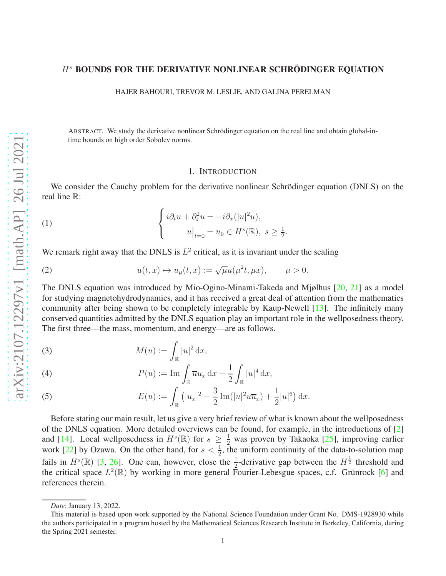# $H<sup>s</sup>$  BOUNDS FOR THE DERIVATIVE NONLINEAR SCHRÖDINGER EQUATION

HAJER BAHOURI, TREVOR M. LESLIE, AND GALINA PERELMAN

ABSTRACT. We study the derivative nonlinear Schrödinger equation on the real line and obtain global-intime bounds on high order Sobolev norms.

## <span id="page-0-1"></span>1. INTRODUCTION

We consider the Cauchy problem for the derivative nonlinear Schrödinger equation (DNLS) on the real line R:

(1) 
$$
\begin{cases} i\partial_t u + \partial_x^2 u = -i\partial_x(|u|^2 u), \\ u|_{t=0} = u_0 \in H^s(\mathbb{R}), \ s \ge \frac{1}{2}. \end{cases}
$$

We remark right away that the DNLS is  $L^2$  critical, as it is invariant under the scaling

(2) 
$$
u(t,x) \mapsto u_{\mu}(t,x) := \sqrt{\mu}u(\mu^2 t, \mu x), \qquad \mu > 0.
$$

The DNLS equation was introduced by Mio-Ogino-Minami-Takeda and Mjølhus [\[20,](#page-19-0) [21\]](#page-19-1) as a model for studying magnetohydrodynamics, and it has received a great deal of attention from the mathematics community after being shown to be completely integrable by Kaup-Newell [\[13\]](#page-19-2). The infinitely many conserved quantities admitted by the DNLS equation play an important role in the wellposedness theory. The first three—the mass, momentum, and energy—are as follows.

<span id="page-0-2"></span>(3) 
$$
M(u) := \int_{\mathbb{R}} |u|^2 dx,
$$

(4) 
$$
P(u) := \operatorname{Im} \int_{\mathbb{R}} \overline{u} u_x \, dx + \frac{1}{2} \int_{\mathbb{R}} |u|^4 \, dx,
$$

<span id="page-0-0"></span>(5) 
$$
E(u) := \int_{\mathbb{R}} (|u_x|^2 - \frac{3}{2} \operatorname{Im}(|u|^2 u \overline{u}_x) + \frac{1}{2}|u|^6) dx.
$$

Before stating our main result, let us give a very brief review of what is known about the wellposedness of the DNLS equation. More detailed overviews can be found, for example, in the introductions of [\[2\]](#page-18-0) and [\[14\]](#page-19-3). Local wellposedness in  $H^s(\mathbb{R})$  for  $s \geq \frac{1}{2}$  was proven by Takaoka [\[25\]](#page-19-4), improving earlier work [\[22\]](#page-19-5) by Ozawa. On the other hand, for  $s < \frac{1}{2}$ , the uniform continuity of the data-to-solution map fails in  $H^s(\mathbb{R})$  [\[3,](#page-18-1) [26\]](#page-19-6). One can, however, close the  $\frac{1}{2}$ -derivative gap between the  $H^{\frac{1}{2}}$  threshold and the critical space  $L^2(\mathbb{R})$  by working in more general Fourier-Lebesgue spaces, c.f. Grünrock [\[6\]](#page-19-7) and references therein.

*Date*: January 13, 2022.

This material is based upon work supported by the National Science Foundation under Grant No. DMS-1928930 while the authors participated in a program hosted by the Mathematical Sciences Research Institute in Berkeley, California, during the Spring 2021 semester.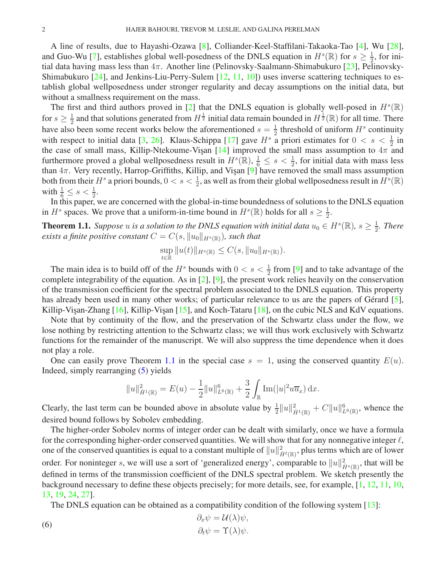A line of results, due to Hayashi-Ozawa [\[8\]](#page-19-8), Colliander-Keel-Staffilani-Takaoka-Tao [\[4\]](#page-19-9), Wu [\[28\]](#page-19-10), and Guo-Wu [\[7\]](#page-19-11), establishes global well-posedness of the DNLS equation in  $H^s(\mathbb{R})$  for  $s \geq \frac{1}{2}$  $\frac{1}{2}$ , for initial data having mass less than  $4\pi$ . Another line (Pelinovsky-Saalmann-Shimabukuro [\[23\]](#page-19-12), Pelinovsky-Shimabukuro [\[24\]](#page-19-13), and Jenkins-Liu-Perry-Sulem [\[12,](#page-19-14) [11,](#page-19-15) [10\]](#page-19-16)) uses inverse scattering techniques to establish global wellposedness under stronger regularity and decay assumptions on the initial data, but without a smallness requirement on the mass.

The first and third authors proved in [\[2\]](#page-18-0) that the DNLS equation is globally well-posed in  $H^s(\mathbb{R})$ for  $s \geq \frac{1}{2}$  $\frac{1}{2}$  and that solutions generated from  $H^{\frac{1}{2}}$  initial data remain bounded in  $H^{\frac{1}{2}}(\mathbb{R})$  for all time. There have also been some recent works below the aforementioned  $s = \frac{1}{2}$  $\frac{1}{2}$  threshold of uniform  $H^s$  continuity with respect to initial data [\[3,](#page-18-1) [26\]](#page-19-6). Klaus-Schippa [\[17\]](#page-19-17) gave  $H^s$  a priori estimates for  $0 < s < \frac{1}{2}$  in the case of small mass, Killip-Ntekoume-Vişan [\[14\]](#page-19-3) improved the small mass assumption to  $4\pi$  and furthermore proved a global wellposedness result in  $H^s(\mathbb{R}), \frac{1}{6} \leq s < \frac{1}{2}$ , for initial data with mass less than  $4\pi$ . Very recently, Harrop-Griffiths, Killip, and Vişan [\[9\]](#page-19-18) have removed the small mass assumption both from their  $H^s$  a priori bounds,  $0 < s < \frac{1}{2}$ , as well as from their global wellposedness result in  $H^s(\mathbb{R})$ with  $\frac{1}{6} \leq s < \frac{1}{2}$ .

In this paper, we are concerned with the global-in-time boundedness of solutions to the DNLS equation in  $H^s$  spaces. We prove that a uniform-in-time bound in  $H^s(\mathbb{R})$  holds for all  $s \geq \frac{1}{2}$  $\frac{1}{2}$ .

<span id="page-1-0"></span>**Theorem 1.1.** Suppose u is a solution to the DNLS equation with initial data  $u_0 \in H^s(\mathbb{R})$ ,  $s \geq \frac{1}{2}$  $\frac{1}{2}$ *. There exists a finite positive constant*  $C = C(s, ||u_0||_{H^s(\mathbb{R})})$ *, such that* 

$$
\sup_{t \in \mathbb{R}} \|u(t)\|_{H^s(\mathbb{R})} \le C(s, \|u_0\|_{H^s(\mathbb{R})}).
$$

The main idea is to build off of the  $H^s$  bounds with  $0 < s < \frac{1}{2}$  from [\[9\]](#page-19-18) and to take advantage of the complete integrability of the equation. As in [\[2\]](#page-18-0), [\[9\]](#page-19-18), the present work relies heavily on the conservation of the transmission coefficient for the spectral problem associated to the DNLS equation. This property has already been used in many other works; of particular relevance to us are the papers of Gérard [\[5\]](#page-19-19), Killip-Visan-Zhang  $[16]$ , Killip-Visan  $[15]$ , and Koch-Tataru  $[18]$ , on the cubic NLS and KdV equations.

Note that by continuity of the flow, and the preservation of the Schwartz class under the flow, we lose nothing by restricting attention to the Schwartz class; we will thus work exclusively with Schwartz functions for the remainder of the manuscript. We will also suppress the time dependence when it does not play a role.

One can easily prove Theorem [1.1](#page-1-0) in the special case  $s = 1$ , using the conserved quantity  $E(u)$ . Indeed, simply rearranging [\(5\)](#page-0-0) yields

$$
||u||_{\dot{H}^{1}(\mathbb{R})}^{2} = E(u) - \frac{1}{2}||u||_{L^{6}(\mathbb{R})}^{6} + \frac{3}{2} \int_{\mathbb{R}} Im(|u|^{2}u \overline{u}_{x}) dx.
$$

Clearly, the last term can be bounded above in absolute value by  $\frac{1}{2}||u||^2_{\dot{H}^1(\mathbb{R})} + C||u||^6_{L^6(\mathbb{R})}$ , whence the desired bound follows by Sobolev embedding.

The higher-order Sobolev norms of integer order can be dealt with similarly, once we have a formula for the corresponding higher-order conserved quantities. We will show that for any nonnegative integer  $\ell$ , one of the conserved quantities is equal to a constant multiple of  $\|u\|_{\dot{H}^\ell(\R)}^2$ , plus terms which are of lower order. For noninteger s, we will use a sort of 'generalized energy', comparable to  $||u||_{\dot{H}^{s}(\mathbb{R})}^{2}$ , that will be defined in terms of the transmission coefficient of the DNLS spectral problem. We sketch presently the background necessary to define these objects precisely; for more details, see, for example, [\[1,](#page-18-2) [12,](#page-19-14) [11,](#page-19-15) [10,](#page-19-16) [13,](#page-19-2) [19,](#page-19-23) [24,](#page-19-13) [27\]](#page-19-24).

The DNLS equation can be obtained as a compatibility condition of the following system [\[13\]](#page-19-2):

<span id="page-1-1"></span>(6) 
$$
\begin{aligned}\n\partial_x \psi &= \mathcal{U}(\lambda) \psi, \\
\partial_t \psi &= \Upsilon(\lambda) \psi.\n\end{aligned}
$$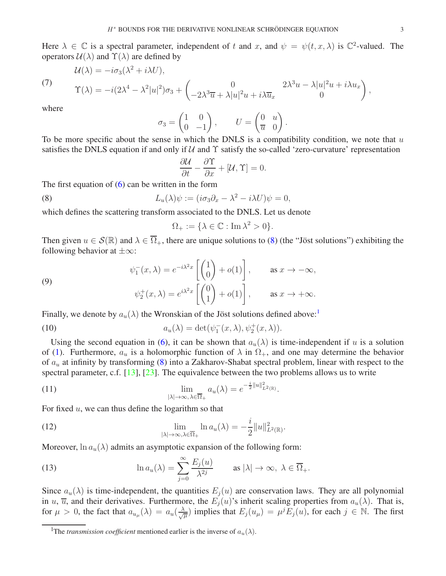Here  $\lambda \in \mathbb{C}$  is a spectral parameter, independent of t and x, and  $\psi = \psi(t, x, \lambda)$  is  $\mathbb{C}^2$ -valued. The operators  $U(\lambda)$  and  $\Upsilon(\lambda)$  are defined by

$$
\mathcal{U}(\lambda) = -i\sigma_3(\lambda^2 + i\lambda U),
$$

(7)

$$
\Upsilon(\lambda) = -i(2\lambda^4 - \lambda^2|u|^2)\sigma_3 + \begin{pmatrix} 0 & 2\lambda^3u - \lambda|u|^2u + i\lambda u_x \\ -2\lambda^3\overline{u} + \lambda|u|^2u + i\lambda \overline{u}_x & 0 \end{pmatrix},
$$

where

$$
\sigma_3 = \begin{pmatrix} 1 & 0 \\ 0 & -1 \end{pmatrix}, \qquad U = \begin{pmatrix} 0 & u \\ \overline{u} & 0 \end{pmatrix}.
$$

To be more specific about the sense in which the DNLS is a compatibility condition, we note that  $u$ satisfies the DNLS equation if and only if  $U$  and  $\Upsilon$  satisfy the so-called 'zero-curvature' representation

$$
\frac{\partial \mathcal{U}}{\partial t} - \frac{\partial \Upsilon}{\partial x} + [\mathcal{U}, \Upsilon] = 0.
$$

The first equation of  $(6)$  can be written in the form

(8) 
$$
L_u(\lambda)\psi := (i\sigma_3\partial_x - \lambda^2 - i\lambda U)\psi = 0,
$$

which defines the scattering transform associated to the DNLS. Let us denote

<span id="page-2-0"></span>
$$
\Omega_+ := \{ \lambda \in \mathbb{C} : \operatorname{Im} \lambda^2 > 0 \}.
$$

Then given  $u \in \mathcal{S}(\mathbb{R})$  and  $\lambda \in \overline{\Omega}_+$ , there are unique solutions to [\(8\)](#page-2-0) (the "Jöst solutions") exhibiting the following behavior at  $\pm\infty$ :

(9)  

$$
\psi_1^-(x,\lambda) = e^{-i\lambda^2 x} \begin{bmatrix} 1 \\ 0 \end{bmatrix} + o(1) \,, \qquad \text{as } x \to -\infty,
$$

$$
\psi_2^+(x,\lambda) = e^{i\lambda^2 x} \begin{bmatrix} 0 \\ 1 \end{bmatrix} + o(1) \,, \qquad \text{as } x \to +\infty.
$$

Finally, we denote by  $a_u(\lambda)$  the Wronskian of the Jöst solutions defined above:<sup>[1](#page-2-1)</sup>

(10) 
$$
a_u(\lambda) = \det(\psi_1^-(x,\lambda), \psi_2^+(x,\lambda)).
$$

Using the second equation in [\(6\)](#page-1-1), it can be shown that  $a_u(\lambda)$  is time-independent if u is a solution of [\(1\)](#page-0-1). Furthermore,  $a_u$  is a holomorphic function of  $\lambda$  in  $\Omega_{+}$ , and one may determine the behavior of  $a_u$  at infinity by transforming [\(8\)](#page-2-0) into a Zakharov-Shabat spectral problem, linear with respect to the spectral parameter, c.f. [\[13\]](#page-19-2), [\[23\]](#page-19-12). The equivalence between the two problems allows us to write

(11) 
$$
\lim_{|\lambda| \to \infty, \lambda \in \overline{\Omega}_+} a_u(\lambda) = e^{-\frac{i}{2} ||u||^2_{L^2(\mathbb{R})}}.
$$

For fixed  $u$ , we can thus define the logarithm so that

<span id="page-2-3"></span>(12) 
$$
\lim_{|\lambda| \to \infty, \lambda \in \overline{\Omega}_+} \ln a_u(\lambda) = -\frac{i}{2} ||u||^2_{L^2(\mathbb{R})}.
$$

Moreover,  $\ln a_n(\lambda)$  admits an asymptotic expansion of the following form:

<span id="page-2-2"></span>(13) 
$$
\ln a_u(\lambda) = \sum_{j=0}^{\infty} \frac{E_j(u)}{\lambda^{2j}} \quad \text{as } |\lambda| \to \infty, \ \lambda \in \overline{\Omega}_+.
$$

Since  $a_u(\lambda)$  is time-independent, the quantities  $E_j(u)$  are conservation laws. They are all polynomial in u,  $\overline{u}$ , and their derivatives. Furthermore, the  $E_i(u)$ 's inherit scaling properties from  $a_u(\lambda)$ . That is, for  $\mu > 0$ , the fact that  $a_{u_{\mu}}(\lambda) = a_u(\frac{\lambda}{\sqrt{\mu}})$  implies that  $E_j(u_{\mu}) = \mu^j E_j(u)$ , for each  $j \in \mathbb{N}$ . The first

<span id="page-2-1"></span><sup>&</sup>lt;sup>1</sup>The *transmission coefficient* mentioned earlier is the inverse of  $a_u(\lambda)$ .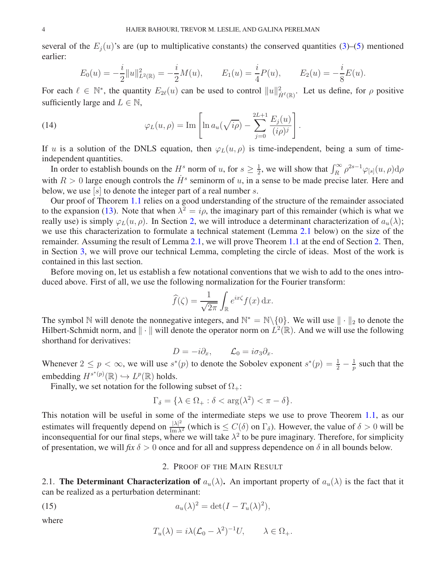several of the  $E_i(u)$ 's are (up to multiplicative constants) the conserved quantities [\(3\)](#page-0-2)–[\(5\)](#page-0-0) mentioned earlier:

$$
E_0(u) = -\frac{i}{2}||u||_{L^2(\mathbb{R})}^2 = -\frac{i}{2}M(u), \qquad E_1(u) = \frac{i}{4}P(u), \qquad E_2(u) = -\frac{i}{8}E(u).
$$

For each  $\ell \in \mathbb{N}^*$ , the quantity  $E_{2\ell}(u)$  can be used to control  $||u||_{\dot{H}(\mathbb{R})}^2$ . Let us define, for  $\rho$  positive sufficiently large and  $L \in \mathbb{N}$ ,

.

(14) 
$$
\varphi_L(u,\rho) = \text{Im}\left[\ln a_u(\sqrt{ip}) - \sum_{j=0}^{2L+1} \frac{E_j(u)}{(i\rho)^j}\right]
$$

If u is a solution of the DNLS equation, then  $\varphi_L(u, \rho)$  is time-independent, being a sum of timeindependent quantities.

In order to establish bounds on the  $H^s$  norm of u, for  $s \geq \frac{1}{2}$  $\frac{1}{2}$ , we will show that  $\int_R^{\infty} \rho^{2s-1} \varphi_{[s]}(u,\rho) d\rho$ with  $R > 0$  large enough controls the  $\dot{H}^s$  seminorm of u, in a sense to be made precise later. Here and below, we use  $[s]$  to denote the integer part of a real number s.

Our proof of Theorem [1.1](#page-1-0) relies on a good understanding of the structure of the remainder associated to the expansion [\(13\)](#page-2-2). Note that when  $\lambda^2 = i\rho$ , the imaginary part of this remainder (which is what we really use) is simply  $\varphi_L(u, \rho)$ . In Section [2,](#page-3-0) we will introduce a determinant characterization of  $a_u(\lambda)$ ; we use this characterization to formulate a technical statement (Lemma [2.1](#page-5-0) below) on the size of the remainder. Assuming the result of Lemma [2.1,](#page-5-0) we will prove Theorem [1.1](#page-1-0) at the end of Section [2.](#page-3-0) Then, in Section [3,](#page-8-0) we will prove our technical Lemma, completing the circle of ideas. Most of the work is contained in this last section.

Before moving on, let us establish a few notational conventions that we wish to add to the ones introduced above. First of all, we use the following normalization for the Fourier transform:

$$
\widehat{f}(\zeta) = \frac{1}{\sqrt{2\pi}} \int_{\mathbb{R}} e^{ix\zeta} f(x) \, \mathrm{d}x.
$$

The symbol N will denote the nonnegative integers, and  $\mathbb{N}^* = \mathbb{N} \setminus \{0\}$ . We will use  $\|\cdot\|_2$  to denote the Hilbert-Schmidt norm, and  $\|\cdot\|$  will denote the operator norm on  $L^2(\mathbb{R})$ . And we will use the following shorthand for derivatives:

$$
D = -i\partial_x, \qquad \mathcal{L}_0 = i\sigma_3 \partial_x.
$$

Whenever  $2 \le p < \infty$ , we will use  $s^*(p)$  to denote the Sobolev exponent  $s^*(p) = \frac{1}{2} - \frac{1}{p}$  $\frac{1}{p}$  such that the embedding  $H^{s^*(p)}(\mathbb{R}) \hookrightarrow L^p(\mathbb{R})$  holds.

Finally, we set notation for the following subset of  $\Omega_{+}$ :

$$
\Gamma_{\delta} = \{ \lambda \in \Omega_+ : \delta < \arg(\lambda^2) < \pi - \delta \}.
$$

This notation will be useful in some of the intermediate steps we use to prove Theorem [1.1,](#page-1-0) as our estimates will frequently depend on  $\frac{|\lambda|^2}{\text{Im }\lambda^2}$  (which is  $\leq C(\delta)$  on  $\Gamma_{\delta}$ ). However, the value of  $\delta > 0$  will be inconsequential for our final steps, where we will take  $\lambda^2$  to be pure imaginary. Therefore, for simplicity of presentation, we will *fix*  $\delta > 0$  once and for all and suppress dependence on  $\delta$  in all bounds below.

## 2. PROOF OF THE MAIN RESULT

<span id="page-3-2"></span><span id="page-3-0"></span>2.1. The Determinant Characterization of  $a_u(\lambda)$ . An important property of  $a_u(\lambda)$  is the fact that it can be realized as a perturbation determinant:

(15) 
$$
a_u(\lambda)^2 = \det(I - T_u(\lambda)^2),
$$

where

<span id="page-3-1"></span>
$$
T_u(\lambda) = i\lambda (\mathcal{L}_0 - \lambda^2)^{-1} U, \qquad \lambda \in \Omega_+.
$$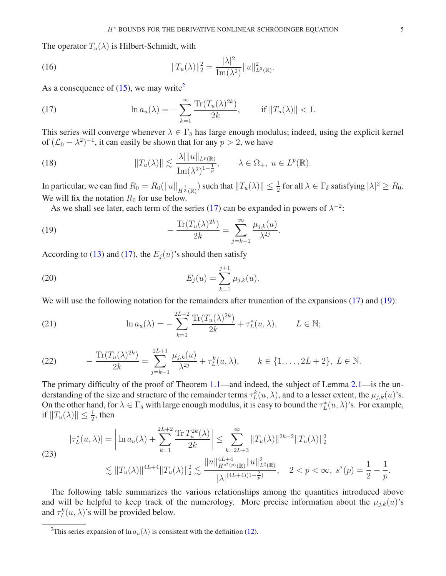The operator  $T_u(\lambda)$  is Hilbert-Schmidt, with

(16) 
$$
||T_u(\lambda)||_2^2 = \frac{|\lambda|^2}{\text{Im}(\lambda^2)} ||u||_{L^2(\mathbb{R})}^2.
$$

As a consequence of  $(15)$ , we may write<sup>[2](#page-4-0)</sup>

<span id="page-4-1"></span>(17) 
$$
\ln a_u(\lambda) = -\sum_{k=1}^{\infty} \frac{\text{Tr}(T_u(\lambda)^{2k})}{2k}, \quad \text{if } \|T_u(\lambda)\| < 1.
$$

This series will converge whenever  $\lambda \in \Gamma_{\delta}$  has large enough modulus; indeed, using the explicit kernel of  $(L_0 - \lambda^2)^{-1}$ , it can easily be shown that for any  $p > 2$ , we have

(18) 
$$
||T_u(\lambda)|| \lesssim \frac{|\lambda| ||u||_{L^p(\mathbb{R})}}{\text{Im}(\lambda^2)^{1-\frac{1}{p}}}, \qquad \lambda \in \Omega_+, u \in L^p(\mathbb{R}).
$$

In particular, we can find  $R_0 = R_0(||u||_{H^\frac{1}{3}(\mathbb{R})})$  such that  $||T_u(\lambda)|| \leq \frac{1}{2}$  for all  $\lambda \in \Gamma_\delta$  satisfying  $|\lambda|^2 \geq R_0$ . We will fix the notation  $R_0$  for use below.

<span id="page-4-2"></span>As we shall see later, each term of the series [\(17\)](#page-4-1) can be expanded in powers of  $\lambda^{-2}$ :

(19) 
$$
-\frac{\text{Tr}(T_u(\lambda)^{2k})}{2k} = \sum_{j=k-1}^{\infty} \frac{\mu_{j,k}(u)}{\lambda^{2j}}.
$$

According to [\(13\)](#page-2-2) and [\(17\)](#page-4-1), the  $E_i(u)$ 's should then satisfy

<span id="page-4-4"></span>(20) 
$$
E_j(u) = \sum_{k=1}^{j+1} \mu_{j,k}(u).
$$

We will use the following notation for the remainders after truncation of the expansions [\(17\)](#page-4-1) and [\(19\)](#page-4-2):

(21) 
$$
\ln a_u(\lambda) = -\sum_{k=1}^{2L+2} \frac{\text{Tr}(T_u(\lambda)^{2k})}{2k} + \tau_L^*(u, \lambda), \qquad L \in \mathbb{N};
$$

<span id="page-4-3"></span>(22) 
$$
-\frac{\text{Tr}(T_u(\lambda)^{2k})}{2k} = \sum_{j=k-1}^{2L+1} \frac{\mu_{j,k}(u)}{\lambda^{2j}} + \tau_L^k(u,\lambda), \qquad k \in \{1,\ldots,2L+2\}, L \in \mathbb{N}.
$$

The primary difficulty of the proof of Theorem [1.1—](#page-1-0)and indeed, the subject of Lemma [2.1—](#page-5-0)is the understanding of the size and structure of the remainder terms  $\tau_L^k(u, \lambda)$ , and to a lesser extent, the  $\mu_{j,k}(u)$ 's. On the other hand, for  $\lambda \in \Gamma_{\delta}$  with large enough modulus, it is easy to bound the  $\tau_L^*(u, \lambda)$ 's. For example, if  $||T_u(\lambda)|| \leq \frac{1}{2}$ , then

<span id="page-4-5"></span>
$$
|\tau_L^*(u,\lambda)| = \left|\ln a_u(\lambda) + \sum_{k=1}^{2L+2} \frac{\text{Tr}\, T_u^{2k}(\lambda)}{2k}\right| \le \sum_{k=2L+3}^{\infty} \|T_u(\lambda)\|^{2k-2} \|T_u(\lambda)\|_2^2
$$
  
(23)  

$$
\lesssim \|T_u(\lambda)\|^{4L+4} \|T_u(\lambda)\|_2^2 \lesssim \frac{\|u\|_{H^{s^*(p)}(\mathbb{R})}^{4L+4} \|u\|_{L^2(\mathbb{R})}^2}{|\lambda|^{(4L+4)(1-\frac{2}{p})}}, \quad 2 < p < \infty, \ s^*(p) = \frac{1}{2} - \frac{1}{p}.
$$

The following table summarizes the various relationships among the quantities introduced above and will be helpful to keep track of the numerology. More precise information about the  $\mu_{j,k}(u)$ 's and  $\tau_L^k(u, \lambda)$ 's will be provided below.

<span id="page-4-0"></span><sup>&</sup>lt;sup>2</sup>This series expansion of ln  $a_u(\lambda)$  is consistent with the definition [\(12\)](#page-2-3).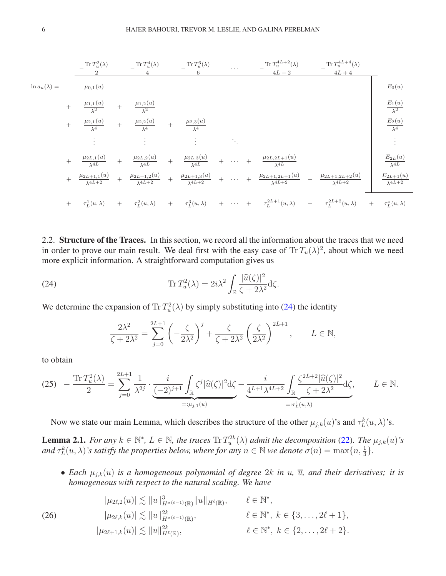

2.2. Structure of the Traces. In this section, we record all the information about the traces that we need in order to prove our main result. We deal first with the easy case of  $\text{Tr} T_u(\lambda)^2$ , about which we need more explicit information. A straightforward computation gives us

(24) 
$$
\operatorname{Tr} T_u^2(\lambda) = 2i\lambda^2 \int_{\mathbb{R}} \frac{|\widehat{u}(\zeta)|^2}{\zeta + 2\lambda^2} d\zeta.
$$

We determine the expansion of  $\text{Tr} T_u^2(\lambda)$  by simply substituting into [\(24\)](#page-5-1) the identity

<span id="page-5-1"></span>
$$
\frac{2\lambda^2}{\zeta + 2\lambda^2} = \sum_{j=0}^{2L+1} \left( -\frac{\zeta}{2\lambda^2} \right)^j + \frac{\zeta}{\zeta + 2\lambda^2} \left( \frac{\zeta}{2\lambda^2} \right)^{2L+1}, \qquad L \in \mathbb{N},
$$

to obtain

<span id="page-5-2"></span>
$$
(25) \quad -\frac{\operatorname{Tr} T_u^2(\lambda)}{2} = \sum_{j=0}^{2L+1} \frac{1}{\lambda^{2j}} \cdot \underbrace{\frac{i}{(-2)^{j+1}} \int_{\mathbb{R}} \zeta^j |\widehat{u}(\zeta)|^2 d\zeta}_{=: \mu_{j,1}(u)} - \underbrace{\frac{i}{4^{L+1} \lambda^{4L+2}} \int_{\mathbb{R}} \frac{\zeta^{2L+2} |\widehat{u}(\zeta)|^2}{\zeta + 2\lambda^2} d\zeta}_{=: \tau_L^1(u,\lambda)}, \qquad L \in \mathbb{N}.
$$

Now we state our main Lemma, which describes the structure of the other  $\mu_{j,k}(u)$ 's and  $\tau_L^k(u, \lambda)$ 's.

<span id="page-5-0"></span>**Lemma 2.1.** *For any*  $k \in \mathbb{N}^*$ ,  $L \in \mathbb{N}$ , the traces  $\text{Tr } T_u^{2k}(\lambda)$  admit the decomposition [\(22\)](#page-4-3). The  $\mu_{j,k}(u)$ 's and  $\tau_L^k(u, \lambda)$ 's satisfy the properties below, where for any  $n \in \mathbb{N}$  we denote  $\sigma(n) = \max\{n, \frac{1}{3}\}.$ 

• *Each*  $\mu_{i,k}(u)$  *is a homogeneous polynomial of degree* 2k *in* u,  $\overline{u}$ , and their derivatives; it is *homogeneous with respect to the natural scaling. We have*

<span id="page-5-3"></span>
$$
|\mu_{2\ell,2}(u)| \lesssim \|u\|_{H^{\sigma(\ell-1)}(\mathbb{R})}^3 \|u\|_{H^{\ell}(\mathbb{R})}, \qquad \ell \in \mathbb{N}^*,
$$
  
\n
$$
|\mu_{2\ell,k}(u)| \lesssim \|u\|_{H^{\sigma(\ell-1)}(\mathbb{R})}^{2k}, \qquad \ell \in \mathbb{N}^*, k \in \{3,\ldots,2\ell+1\},
$$
  
\n
$$
|\mu_{2\ell+1,k}(u)| \lesssim \|u\|_{H^{\ell}(\mathbb{R})}^{2k}, \qquad \ell \in \mathbb{N}^*, k \in \{2,\ldots,2\ell+2\}.
$$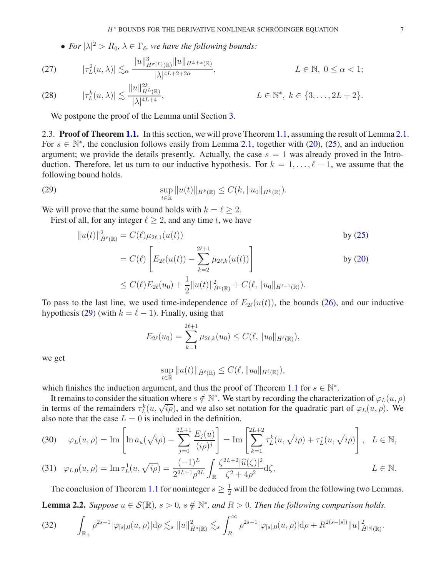• For  $|\lambda|^2 > R_0$ ,  $\lambda \in \Gamma_{\delta}$ , we have the following bounds:

<span id="page-6-4"></span>(27) 
$$
|\tau_L^2(u,\lambda)| \lesssim_{\alpha} \frac{\|u\|_{H^{\sigma(L)}(\mathbb{R})}^3 \|u\|_{H^{L+\alpha}(\mathbb{R})}}{|\lambda|^{4L+2+2\alpha}}, \qquad L \in \mathbb{N}, 0 \le \alpha < 1;
$$
  
(28) 
$$
|\tau_L^k(u,\lambda)| \lesssim \frac{\|u\|_{H^L(\mathbb{R})}^{2k}}{|\lambda|^{4L+4}}, \qquad L \in \mathbb{N}^*, k \in \{3,\dots,2L+2\}.
$$

<span id="page-6-5"></span>We postpone the proof of the Lemma until Section [3.](#page-8-0)

2.3. **Proof of Theorem [1.1.](#page-1-0)** In this section, we will prove Theorem [1.1,](#page-1-0) assuming the result of Lemma [2.1.](#page-5-0) For  $s \in \mathbb{N}^*$ , the conclusion follows easily from Lemma [2.1,](#page-5-0) together with [\(20\)](#page-4-4), [\(25\)](#page-5-2), and an induction argument; we provide the details presently. Actually, the case  $s = 1$  was already proved in the Introduction. Therefore, let us turn to our inductive hypothesis. For  $k = 1, \ldots, \ell - 1$ , we assume that the following bound holds.

(29) 
$$
\sup_{t \in \mathbb{R}} \|u(t)\|_{H^k(\mathbb{R})} \leq C(k, \|u_0\|_{H^k(\mathbb{R})}).
$$

We will prove that the same bound holds with  $k = \ell \geq 2$ .

First of all, for any integer  $\ell \geq 2$ , and any time t, we have

<span id="page-6-0"></span>
$$
||u(t)||_{\dot{H}^{\ell}(\mathbb{R})}^{2} = C(\ell)\mu_{2\ell,1}(u(t))
$$
 by (25)  
\n
$$
= C(\ell) \left[ E_{2\ell}(u(t)) - \sum_{k=2}^{2\ell+1} \mu_{2\ell,k}(u(t)) \right]
$$
 by (20)  
\n
$$
\leq C(\ell)E_{2\ell}(u_{0}) + \frac{1}{2}||u(t)||_{\dot{H}^{\ell}(\mathbb{R})}^{2} + C(\ell, ||u_{0}||_{H^{\ell-1}(\mathbb{R})}).
$$

To pass to the last line, we used time-independence of  $E_{2\ell}(u(t))$ , the bounds [\(26\)](#page-5-3), and our inductive hypothesis [\(29\)](#page-6-0) (with  $k = \ell - 1$ ). Finally, using that

$$
E_{2\ell}(u_0) = \sum_{k=1}^{2\ell+1} \mu_{2\ell,k}(u_0) \le C(\ell, \|u_0\|_{H^{\ell}(\mathbb{R})}),
$$

we get

$$
\sup_{t\in\mathbb{R}}\|u(t)\|_{\dot{H}^{\ell}(\mathbb{R})}\leq C(\ell,\|u_0\|_{H^{\ell}(\mathbb{R})}),
$$

which finishes the induction argument, and thus the proof of Theorem [1.1](#page-1-0) for  $s \in \mathbb{N}^*$ .

It remains to consider the situation where  $s \notin \mathbb{N}^*$ . We start by recording the characterization of  $\varphi_L(u, \rho)$ in terms of the remainders  $\tau_L^k(u, \sqrt{i \rho})$ , and we also set notation for the quadratic part of  $\varphi_L(u, \rho)$ . We also note that the case  $L = 0$  is included in the definition.

<span id="page-6-3"></span>(30) 
$$
\varphi_L(u,\rho) = \text{Im}\left[\ln a_u(\sqrt{ip}) - \sum_{j=0}^{2L+1} \frac{E_j(u)}{(ip)^j}\right] = \text{Im}\left[\sum_{k=1}^{2L+2} \tau_L^k(u, \sqrt{ip}) + \tau_L^*(u, \sqrt{ip})\right], \quad L \in \mathbb{N},
$$

<span id="page-6-1"></span>(31) 
$$
\varphi_{L,0}(u,\rho) = \text{Im } \tau_L^1(u, \sqrt{i\rho}) = \frac{(-1)^L}{2^{2L+1}\rho^{2L}} \int_{\mathbb{R}} \frac{\zeta^{2L+2}|\widehat{u}(\zeta)|^2}{\zeta^2 + 4\rho^2} d\zeta,
$$
  $L \in \mathbb{N}.$ 

The conclusion of Theorem [1.1](#page-1-0) for noninteger  $s \geq \frac{1}{2}$  will be deduced from the following two Lemmas. **Lemma 2.2.** *Suppose*  $u \in \mathcal{S}(\mathbb{R})$ *,*  $s > 0$ *,*  $s \notin \mathbb{N}^*$ *, and*  $R > 0$ *. Then the following comparison holds.* 

<span id="page-6-6"></span><span id="page-6-2"></span>
$$
(32) \qquad \int_{\mathbb{R}_+} \rho^{2s-1} |\varphi_{[s],0}(u,\rho)| d\rho \lesssim_s \|u\|_{\dot{H}^s(\mathbb{R})}^2 \lesssim_s \int_R^{\infty} \rho^{2s-1} |\varphi_{[s],0}(u,\rho)| d\rho + R^{2(s-[s])} \|u\|_{\dot{H}^{[s]}(\mathbb{R})}^2.
$$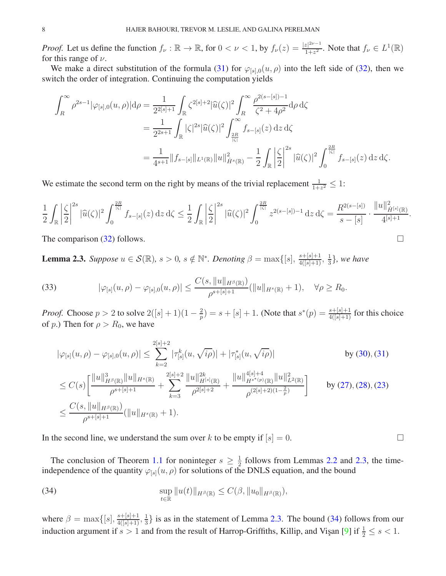*Proof.* Let us define the function  $f_{\nu} : \mathbb{R} \to \mathbb{R}$ , for  $0 < \nu < 1$ , by  $f_{\nu}(z) = \frac{|z|^{2\nu-1}}{1+z^2}$  $\frac{|z|^{2\nu-1}}{1+z^2}$ . Note that  $f_{\nu} \in L^1(\mathbb{R})$ for this range of  $\nu$ .

We make a direct substitution of the formula [\(31\)](#page-6-1) for  $\varphi_{[s],0}(u,\rho)$  into the left side of [\(32\)](#page-6-2), then we switch the order of integration. Continuing the computation yields

$$
\int_{R}^{\infty} \rho^{2s-1} |\varphi_{[s],0}(u,\rho)| d\rho = \frac{1}{2^{2[s]+1}} \int_{\mathbb{R}} \zeta^{2[s]+2} |\widehat{u}(\zeta)|^2 \int_{R}^{\infty} \frac{\rho^{2(s-[s])-1}}{\zeta^2 + 4\rho^2} d\rho d\zeta
$$
  

$$
= \frac{1}{2^{2s+1}} \int_{\mathbb{R}} |\zeta|^{2s} |\widehat{u}(\zeta)|^2 \int_{\frac{2R}{|\zeta|}}^{\infty} f_{s-[s]}(z) dz d\zeta
$$
  

$$
= \frac{1}{4^{s+1}} \|f_{s-[s]}\|_{L^1(\mathbb{R})} \|u\|_{\dot{H}^s(\mathbb{R})}^2 - \frac{1}{2} \int_{\mathbb{R}} \left|\frac{\zeta}{2}\right|^{2s} |\widehat{u}(\zeta)|^2 \int_{0}^{\frac{2R}{|\zeta|}} f_{s-[s]}(z) dz d\zeta.
$$

We estimate the second term on the right by means of the trivial replacement  $\frac{1}{1+z^2} \leq 1$ :

$$
\frac{1}{2} \int_{\mathbb{R}} \left| \frac{\zeta}{2} \right|^{2s} |\widehat{u}(\zeta)|^2 \int_0^{\frac{2R}{|\zeta|}} f_{s-[s]}(z) dz d\zeta \le \frac{1}{2} \int_{\mathbb{R}} \left| \frac{\zeta}{2} \right|^{2s} |\widehat{u}(\zeta)|^2 \int_0^{\frac{2R}{|\zeta|}} z^{2(s-[s])-1} dz d\zeta = \frac{R^{2(s-[s])}}{s-[s]} \cdot \frac{\|u\|_{\dot{H}^{[s]}(\mathbb{R})}^2}{4^{[s]+1}}.
$$

The comparison [\(32\)](#page-6-2) follows.  $\Box$ 

<span id="page-7-0"></span>**Lemma 2.3.** *Suppose*  $u \in \mathcal{S}(\mathbb{R})$ ,  $s > 0$ ,  $s \notin \mathbb{N}^*$ . *Denoting*  $\beta = \max\{[s], \frac{s + [s] + 1}{4([s] + 1)}, \frac{1}{3}$  $\frac{1}{3}$ , we have

(33) 
$$
|\varphi_{[s]}(u,\rho)-\varphi_{[s],0}(u,\rho)|\leq \frac{C(s,\|u\|_{H^{\beta}(\mathbb{R})})}{\rho^{s+[s]+1}}(\|u\|_{H^s(\mathbb{R})}+1), \quad \forall \rho\geq R_0.
$$

*Proof.* Choose  $p > 2$  to solve  $2([s] + 1)(1 - \frac{2}{p})$  $\frac{2}{p}$ ) = s + [s] + 1. (Note that  $s^*(p) = \frac{s + [s] + 1}{4([s] + 1)}$  for this choice of p.) Then for  $\rho > R_0$ , we have

$$
\begin{split}\n|\varphi_{[s]}(u,\rho)-\varphi_{[s],0}(u,\rho)| &\leq \sum_{k=2}^{2[s]+2} |\tau_{[s]}^k(u,\sqrt{i\rho})| + |\tau_{[s]}^*(u,\sqrt{i\rho})| & \qquad \text{by (30), (31)} \\
&\leq C(s) \bigg[ \frac{\|u\|_{H^{\beta}(\mathbb{R})}^3 \|u\|_{H^s(\mathbb{R})}}{\rho^{s+[s]+1}} + \sum_{k=3}^{2[s]+2} \frac{\|u\|_{H^{[s]}(\mathbb{R})}^{2k}}{\rho^{2[s]+2}} + \frac{\|u\|_{H^{s*(\rho)}(\mathbb{R})}^{4[s]+4}}{\rho^{(2[s]+2)(1-\frac{2}{p})}} &\qquad \text{by (27), (28), (23)} \\
&\leq \frac{C(s, \|u\|_{H^{\beta}(\mathbb{R})})}{\rho^{s+[s]+1}} (\|u\|_{H^s(\mathbb{R})} + 1).\n\end{split}
$$

In the second line, we understand the sum over k to be empty if  $[s] = 0$ .

The conclusion of Theorem [1.1](#page-1-0) for noninteger  $s \geq \frac{1}{2}$  $\frac{1}{2}$  follows from Lemmas [2.2](#page-6-6) and [2.3,](#page-7-0) the timeindependence of the quantity  $\varphi_{[s]}(u, \rho)$  for solutions of the DNLS equation, and the bound

<span id="page-7-1"></span>(34) 
$$
\sup_{t\in\mathbb{R}}||u(t)||_{H^{\beta}(\mathbb{R})}\leq C(\beta,||u_0||_{H^{\beta}(\mathbb{R})}),
$$

where  $\beta = \max\{[s], \frac{s+[s]+1}{4([s]+1)}, \frac{1}{3}$  $\frac{1}{3}$  is as in the statement of Lemma [2.3.](#page-7-0) The bound [\(34\)](#page-7-1) follows from our induction argument if  $s > 1$  and from the result of Harrop-Griffiths, Killip, and Visan [\[9\]](#page-19-18) if  $\frac{1}{2} \le s < 1$ .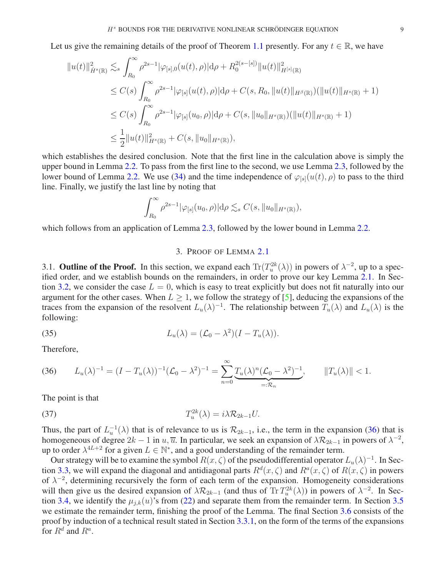Let us give the remaining details of the proof of Theorem [1.1](#page-1-0) presently. For any  $t \in \mathbb{R}$ , we have

$$
||u(t)||_{\dot{H}^{s}(\mathbb{R})}^{2} \lesssim_{s} \int_{R_{0}}^{\infty} \rho^{2s-1} |\varphi_{[s],0}(u(t),\rho)| d\rho + R_{0}^{2(s-[s])} ||u(t)||_{H^{[s]}(\mathbb{R})}^{2}
$$
  
\n
$$
\leq C(s) \int_{R_{0}}^{\infty} \rho^{2s-1} |\varphi_{[s]}(u(t),\rho)| d\rho + C(s,R_{0},||u(t)||_{H^{\beta}(\mathbb{R})})(||u(t)||_{H^{s}(\mathbb{R})} + 1)
$$
  
\n
$$
\leq C(s) \int_{R_{0}}^{\infty} \rho^{2s-1} |\varphi_{[s]}(u_{0},\rho)| d\rho + C(s,||u_{0}||_{H^{s}(\mathbb{R})})(||u(t)||_{H^{s}(\mathbb{R})} + 1)
$$
  
\n
$$
\leq \frac{1}{2} ||u(t)||_{H^{s}(\mathbb{R})}^{2} + C(s,||u_{0}||_{H^{s}(\mathbb{R})}),
$$

which establishes the desired conclusion. Note that the first line in the calculation above is simply the upper bound in Lemma [2.2.](#page-6-6) To pass from the first line to the second, we use Lemma [2.3,](#page-7-0) followed by the lower bound of Lemma [2.2.](#page-6-6) We use [\(34\)](#page-7-1) and the time independence of  $\varphi_{[s]}(u(t), \rho)$  to pass to the third line. Finally, we justify the last line by noting that

$$
\int_{R_0}^{\infty} \rho^{2s-1} |\varphi_{[s]}(u_0, \rho)| d\rho \lesssim_s C(s, \|u_0\|_{H^s(\mathbb{R})}),
$$

<span id="page-8-0"></span>which follows from an application of Lemma [2.3,](#page-7-0) followed by the lower bound in Lemma [2.2.](#page-6-6)

## 3. PROOF OF LEMMA [2.1](#page-5-0)

3.1. **Outline of the Proof.** In this section, we expand each  $\text{Tr}(T_u^{2k}(\lambda))$  in powers of  $\lambda^{-2}$ , up to a specified order, and we establish bounds on the remainders, in order to prove our key Lemma [2.1.](#page-5-0) In Sec-tion [3.2,](#page-9-0) we consider the case  $L = 0$ , which is easy to treat explicitly but does not fit naturally into our argument for the other cases. When  $L \geq 1$ , we follow the strategy of [\[5\]](#page-19-19), deducing the expansions of the traces from the expansion of the resolvent  $L_u(\lambda)^{-1}$ . The relationship between  $T_u(\lambda)$  and  $L_u(\lambda)$  is the following:

(35) 
$$
L_u(\lambda) = (\mathcal{L}_0 - \lambda^2)(I - T_u(\lambda)).
$$

Therefore,

<span id="page-8-1"></span>(36) 
$$
L_u(\lambda)^{-1} = (I - T_u(\lambda))^{-1} (\mathcal{L}_0 - \lambda^2)^{-1} = \sum_{n=0}^{\infty} \underbrace{T_u(\lambda)^n (\mathcal{L}_0 - \lambda^2)^{-1}}_{=: \mathcal{R}_n}, \qquad ||T_u(\lambda)|| < 1.
$$

The point is that

<span id="page-8-2"></span>(37) 
$$
T_u^{2k}(\lambda) = i\lambda \mathcal{R}_{2k-1}U.
$$

Thus, the part of  $L_u^{-1}(\lambda)$  that is of relevance to us is  $\mathcal{R}_{2k-1}$ , i.e., the term in the expansion [\(36\)](#page-8-1) that is homogeneous of degree  $2k - 1$  in  $u, \overline{u}$ . In particular, we seek an expansion of  $\lambda \mathcal{R}_{2k-1}$  in powers of  $\lambda^{-2}$ , up to order  $\lambda^{4L+2}$  for a given  $L \in \mathbb{N}^*$ , and a good understanding of the remainder term.

Our strategy will be to examine the symbol  $R(x,\zeta)$  of the pseudodifferential operator  $L_u(\lambda)^{-1}$ . In Sec-tion [3.3,](#page-9-1) we will expand the diagonal and antidiagonal parts  $R^d(x,\zeta)$  and  $R^a(x,\zeta)$  of  $R(x,\zeta)$  in powers of  $\lambda^{-2}$ , determining recursively the form of each term of the expansion. Homogeneity considerations will then give us the desired expansion of  $\lambda \mathcal{R}_{2k-1}$  (and thus of Tr  $T_u^{2k}(\lambda)$ ) in powers of  $\lambda^{-2}$ . In Sec-tion [3.4,](#page-12-0) we identify the  $\mu_{i,k}(u)$ 's from [\(22\)](#page-4-3) and separate them from the remainder term. In Section [3.5](#page-15-0) we estimate the remainder term, finishing the proof of the Lemma. The final Section [3.6](#page-18-3) consists of the proof by induction of a technical result stated in Section [3.3.1,](#page-10-0) on the form of the terms of the expansions for  $R^d$  and  $R^a$ .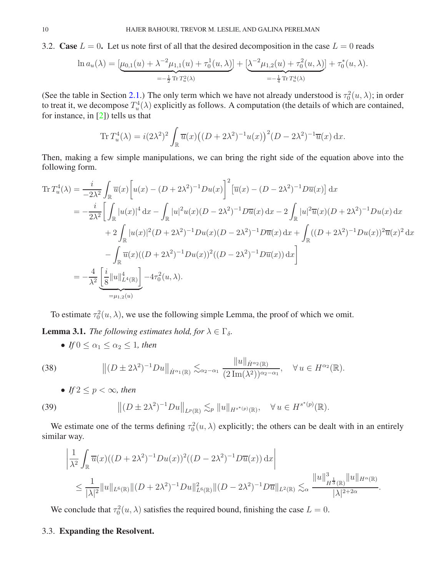<span id="page-9-0"></span>3.2. Case  $L = 0$ . Let us note first of all that the desired decomposition in the case  $L = 0$  reads

$$
\ln a_u(\lambda) = \underbrace{[\mu_{0,1}(u) + \lambda^{-2}\mu_{1,1}(u) + \tau_0^1(u,\lambda)]}_{=-\frac{1}{2}\text{Tr}\,T_u^2(\lambda)} + \underbrace{[\lambda^{-2}\mu_{1,2}(u) + \tau_0^2(u,\lambda)]}_{=-\frac{1}{4}\text{Tr}\,T_u^4(\lambda)} + \tau_0^*(u,\lambda).
$$

(See the table in Section [2.1.](#page-3-2)) The only term which we have not already understood is  $\tau_0^2(u, \lambda)$ ; in order to treat it, we decompose  $T_u^4(\lambda)$  explicitly as follows. A computation (the details of which are contained, for instance, in [\[2\]](#page-18-0)) tells us that

$$
\operatorname{Tr} T_u^4(\lambda) = i(2\lambda^2)^2 \int_{\mathbb{R}} \overline{u}(x) \big( (D + 2\lambda^2)^{-1} u(x) \big)^2 (D - 2\lambda^2)^{-1} \overline{u}(x) \, dx.
$$

Then, making a few simple manipulations, we can bring the right side of the equation above into the following form.

$$
\operatorname{Tr} T_u^4(\lambda) = \frac{i}{-2\lambda^2} \int_{\mathbb{R}} \overline{u}(x) \left[ u(x) - (D + 2\lambda^2)^{-1} Du(x) \right]^2 \left[ \overline{u}(x) - (D - 2\lambda^2)^{-1} D \overline{u}(x) \right] dx
$$
  
\n
$$
= -\frac{i}{2\lambda^2} \left[ \int_{\mathbb{R}} |u(x)|^4 dx - \int_{\mathbb{R}} |u|^2 u(x) (D - 2\lambda^2)^{-1} D \overline{u}(x) dx - 2 \int_{\mathbb{R}} |u|^2 \overline{u}(x) (D + 2\lambda^2)^{-1} Du(x) dx \right.
$$
  
\n
$$
+ 2 \int_{\mathbb{R}} |u(x)|^2 (D + 2\lambda^2)^{-1} Du(x) (D - 2\lambda^2)^{-1} D \overline{u}(x) dx + \int_{\mathbb{R}} ((D + 2\lambda^2)^{-1} Du(x))^2 \overline{u}(x)^2 dx
$$
  
\n
$$
- \int_{\mathbb{R}} \overline{u}(x) ((D + 2\lambda^2)^{-1} Du(x))^2 ((D - 2\lambda^2)^{-1} D \overline{u}(x)) dx \right]
$$
  
\n
$$
= -\frac{4}{\lambda^2} \underbrace{\left[ \frac{i}{8} ||u||_{L^4(\mathbb{R})}^4 \right]}_{= \mu_{1,2}(u)} - 4\tau_0^2(u, \lambda).
$$

To estimate  $\tau_0^2(u, \lambda)$ , we use the following simple Lemma, the proof of which we omit.

**Lemma 3.1.** *The following estimates hold, for*  $\lambda \in \Gamma_{\delta}$ *.* 

• *If*  $0 \leq \alpha_1 \leq \alpha_2 \leq 1$ *, then* 

(38) 
$$
\| (D \pm 2\lambda^2)^{-1}Du\|_{\dot{H}^{\alpha_1}(\mathbb{R})} \lesssim_{\alpha_2-\alpha_1} \frac{\|u\|_{\dot{H}^{\alpha_2}(\mathbb{R})}}{(2\operatorname{Im}(\lambda^2))^{\alpha_2-\alpha_1}}, \quad \forall u \in H^{\alpha_2}(\mathbb{R}).
$$

• *If*  $2 \leq p < \infty$ *, then* 

(39) 
$$
\|(D \pm 2\lambda^2)^{-1}Du\|_{L^p(\mathbb{R})} \lesssim_p \|u\|_{H^{s^*(p)}(\mathbb{R})}, \quad \forall u \in H^{s^*(p)}(\mathbb{R}).
$$

We estimate one of the terms defining  $\tau_0^2(u, \lambda)$  explicitly; the others can be dealt with in an entirely similar way.

$$
\left| \frac{1}{\lambda^2} \int_{\mathbb{R}} \overline{u}(x) ((D + 2\lambda^2)^{-1} D u(x))^2 ((D - 2\lambda^2)^{-1} D \overline{u}(x)) dx \right|
$$
  

$$
\leq \frac{1}{|\lambda|^2} \|u\|_{L^6(\mathbb{R})} \| (D + 2\lambda^2)^{-1} D u \|_{L^6(\mathbb{R})}^2 \| (D - 2\lambda^2)^{-1} D \overline{u} \|_{L^2(\mathbb{R})} \lesssim_{\alpha} \frac{\|u\|_{H^{\frac{1}{3}}(\mathbb{R})}^3 \|u\|_{H^{\alpha}(\mathbb{R})}}{|\lambda|^{2+2\alpha}}.
$$

We conclude that  $\tau_0^2(u, \lambda)$  satisfies the required bound, finishing the case  $L = 0$ .

## <span id="page-9-1"></span>3.3. Expanding the Resolvent.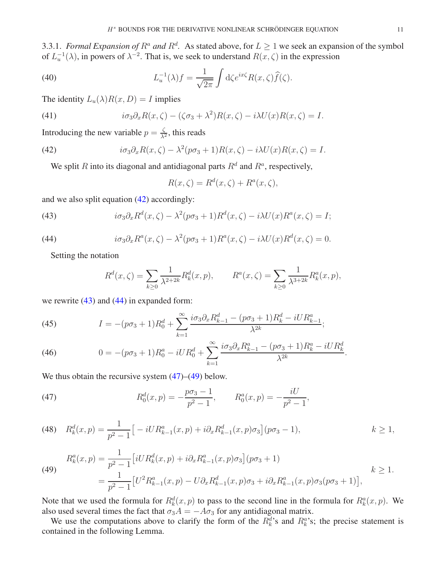<span id="page-10-0"></span>3.3.1. *Formal Expansion of*  $R^a$  *and*  $R^d$ . As stated above, for  $L \ge 1$  we seek an expansion of the symbol of  $L<sub>u</sub><sup>-1</sup>(\lambda)$ , in powers of  $\lambda<sup>-2</sup>$ . That is, we seek to understand  $R(x,\zeta)$  in the expression

(40) 
$$
L_u^{-1}(\lambda)f = \frac{1}{\sqrt{2\pi}} \int d\zeta e^{ix\zeta} R(x,\zeta)\widehat{f}(\zeta).
$$

The identity  $L_u(\lambda)R(x, D) = I$  implies

(41) 
$$
i\sigma_3 \partial_x R(x,\zeta) - (\zeta \sigma_3 + \lambda^2)R(x,\zeta) - i\lambda U(x)R(x,\zeta) = I.
$$

Introducing the new variable  $p = \frac{\zeta}{\lambda^2}$ , this reads

(42) 
$$
i\sigma_3 \partial_x R(x,\zeta) - \lambda^2 (p\sigma_3 + 1)R(x,\zeta) - i\lambda U(x)R(x,\zeta) = I.
$$

We split R into its diagonal and antidiagonal parts  $R^d$  and  $R^a$ , respectively,

<span id="page-10-1"></span>
$$
R(x,\zeta) = R^{d}(x,\zeta) + R^{a}(x,\zeta),
$$

and we also split equation [\(42\)](#page-10-1) accordingly:

(43) 
$$
i\sigma_3 \partial_x R^d(x,\zeta) - \lambda^2 (p\sigma_3 + 1) R^d(x,\zeta) - i\lambda U(x) R^a(x,\zeta) = I;
$$

(44) 
$$
i\sigma_3 \partial_x R^a(x,\zeta) - \lambda^2 (p\sigma_3 + 1) R^a(x,\zeta) - i\lambda U(x) R^d(x,\zeta) = 0.
$$

Setting the notation

<span id="page-10-3"></span><span id="page-10-2"></span>
$$
R^{d}(x,\zeta) = \sum_{k\geq 0} \frac{1}{\lambda^{2+2k}} R_{k}^{d}(x,p), \qquad R^{a}(x,\zeta) = \sum_{k\geq 0} \frac{1}{\lambda^{3+2k}} R_{k}^{a}(x,p),
$$

we rewrite  $(43)$  and  $(44)$  in expanded form:

<span id="page-10-6"></span>(45) 
$$
I = -(p\sigma_3 + 1)R_0^d + \sum_{k=1}^{\infty} \frac{i\sigma_3 \partial_x R_{k-1}^d - (p\sigma_3 + 1)R_k^d - iUR_{k-1}^a}{\lambda^{2k}};
$$

<span id="page-10-7"></span>(46) 
$$
0 = -(p\sigma_3 + 1)R_0^a - iUR_0^d + \sum_{k=1}^{\infty} \frac{i\sigma_3 \partial_x R_{k-1}^a - (p\sigma_3 + 1)R_k^a - iUR_k^d}{\lambda^{2k}}.
$$

We thus obtain the recursive system  $(47)$ – $(49)$  below.

<span id="page-10-4"></span>(47) 
$$
R_0^d(x,p) = -\frac{p\sigma_3 - 1}{p^2 - 1}, \qquad R_0^a(x,p) = -\frac{iU}{p^2 - 1},
$$

<span id="page-10-8"></span>(48) 
$$
R_k^d(x,p) = \frac{1}{p^2 - 1} \big[ -iUR_{k-1}^a(x,p) + i\partial_x R_{k-1}^d(x,p)\sigma_3 \big] (p\sigma_3 - 1), \qquad k \ge 1,
$$

<span id="page-10-5"></span>(49) 
$$
R_k^a(x, p) = \frac{1}{p^2 - 1} \left[ i U R_k^d(x, p) + i \partial_x R_{k-1}^a(x, p) \sigma_3 \right] (p \sigma_3 + 1)
$$

$$
= \frac{1}{p^2 - 1} \left[ U^2 R_{k-1}^a(x, p) - U \partial_x R_{k-1}^d(x, p) \sigma_3 + i \partial_x R_{k-1}^a(x, p) \sigma_3 (p \sigma_3 + 1) \right],
$$

$$
k \ge 1.
$$

Note that we used the formula for  $R_k^d(x, p)$  to pass to the second line in the formula for  $R_k^a(x, p)$ . We also used several times the fact that  $\sigma_3 A = -A\sigma_3$  for any antidiagonal matrix.

We use the computations above to clarify the form of the  $R_k^d$ 's and  $R_k^a$ 's; the precise statement is contained in the following Lemma.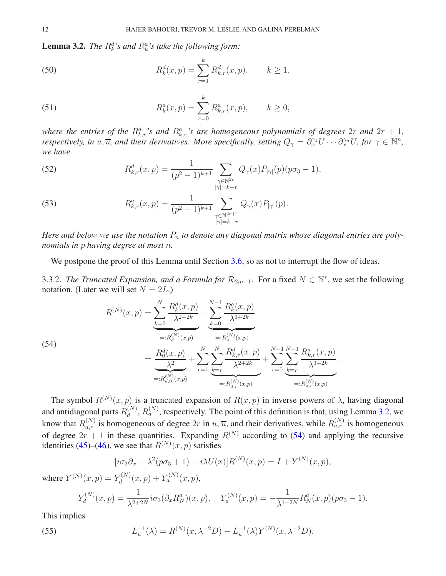<span id="page-11-0"></span>**Lemma 3.2.** *The*  $R_k^d$ 's and  $R_k^a$ 's take the following form:

(50) 
$$
R_k^d(x,p) = \sum_{r=1}^k R_{k,r}^d(x,p), \qquad k \ge 1,
$$

(51) 
$$
R_k^a(x,p) = \sum_{r=0}^k R_{k,r}^a(x,p), \qquad k \ge 0,
$$

where the entries of the  $R^d_{k,r}$ 's and  $R^a_{k,r}$ 's are homogeneous polynomials of degrees  $2r$  and  $2r + 1$ , *respectively, in*  $u, \overline{u}$ *, and their derivatives. More specifically, setting*  $Q_\gamma = \partial_x^{\gamma_1} U \cdots \partial_x^{\gamma_n} U$ *, for*  $\gamma \in \mathbb{N}^n$ *, we have*

<span id="page-11-3"></span>(52) 
$$
R_{k,r}^d(x,p) = \frac{1}{(p^2-1)^{k+1}} \sum_{\substack{\gamma \in \mathbb{N}^{2r} \\ |\gamma|=k-r}} Q_{\gamma}(x) P_{|\gamma|}(p) (p\sigma_3 - 1),
$$

<span id="page-11-4"></span>(53) 
$$
R_{k,r}^a(x,p) = \frac{1}{(p^2-1)^{k+1}} \sum_{\substack{\gamma \in \mathbb{N}^{2r+1} \\ |\gamma|=k-r}} Q_{\gamma}(x) P_{|\gamma|}(p).
$$

*Here and below we use the notation*  $P_n$  *to denote any diagonal matrix whose diagonal entries are polynomials in* p *having degree at most* n*.*

We postpone the proof of this Lemma until Section [3.6,](#page-18-3) so as not to interrupt the flow of ideas.

3.3.2. *The Truncated Expansion, and a Formula for*  $\mathcal{R}_{2m-1}$ . For a fixed  $N \in \mathbb{N}^*$ , we set the following notation. (Later we will set  $N = 2L$ .)

<span id="page-11-1"></span>(54)  

$$
R^{(N)}(x,p) = \underbrace{\sum_{k=0}^{N} \frac{R_k^d(x,p)}{\lambda^{2+2k}}}_{=:R_d^{(N)}(x,p)} + \underbrace{\sum_{k=0}^{N-1} \frac{R_k^a(x,p)}{\lambda^{3+2k}}}_{=:R_a^{(N)}(x,p)} \\
= \underbrace{\frac{R_0^d(x,p)}{\lambda^2}}_{=:R_{d,0}^{(N)}(x,p)} + \sum_{r=1}^{N} \underbrace{\sum_{k=r}^{N} \frac{R_{k,r}^d(x,p)}{\lambda^{2+2k}}}_{=:R_{d,r}^{(N)}(x,p)} + \sum_{r=0}^{N-1} \underbrace{\sum_{k=r}^{N-1} \frac{R_{k,r}^a(x,p)}{\lambda^{3+2k}}}_{=:R_{a,r}^{(N)}(x,p)}.
$$

The symbol  $R^{(N)}(x, p)$  is a truncated expansion of  $R(x, p)$  in inverse powers of  $\lambda$ , having diagonal and antidiagonal parts  $R_d^{(N)}$  $d_d^{(N)}$ ,  $R_a^{(N)}$ , respectively. The point of this definition is that, using Lemma [3.2,](#page-11-0) we know that  $R_{d,r}^{(N)}$  is homogeneous of degree  $2r$  in  $u, \overline{u}$ , and their derivatives, while  $R_{a,r}^{(N)}$  is homogeneous of degree  $2r + 1$  in these quantities. Expanding  $R^{(N)}$  according to [\(54\)](#page-11-1) and applying the recursive identities [\(45\)](#page-10-6)–[\(46\)](#page-10-7), we see that  $R^{(N)}(x, p)$  satisfies

$$
[i\sigma_3\partial_x - \lambda^2(p\sigma_3 + 1) - i\lambda U(x)]R^{(N)}(x,p) = I + Y^{(N)}(x,p),
$$

where  $Y^{(N)}(x, p) = Y_d^{(N)}$  $Y_d^{(N)}(x,p) + Y_a^{(N)}(x,p),$ 

<span id="page-11-2"></span>
$$
Y_d^{(N)}(x,p) = \frac{1}{\lambda^{2+2N}} i\sigma_3(\partial_x R_N^d)(x,p), \quad Y_a^{(N)}(x,p) = -\frac{1}{\lambda^{1+2N}} R_N^a(x,p)(p\sigma_3 - 1).
$$

This implies

(55) 
$$
L_u^{-1}(\lambda) = R^{(N)}(x, \lambda^{-2}D) - L_u^{-1}(\lambda)Y^{(N)}(x, \lambda^{-2}D).
$$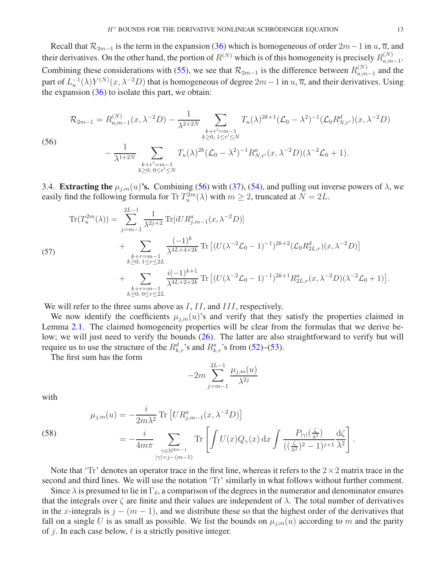Recall that  $\mathcal{R}_{2m-1}$  is the term in the expansion [\(36\)](#page-8-1) which is homogeneous of order  $2m-1$  in  $u, \overline{u}$ , and their derivatives. On the other hand, the portion of  $R^{(N)}$  which is of this homogeneity is precisely  $R_{a,m}^{(N)}$  $\binom{N}{a,m-1}$ . Combining these considerations with [\(55\)](#page-11-2), we see that  $\mathcal{R}_{2m-1}$  is the difference between  $R_{a,m}^{(N)}$  $\binom{n}{a,m-1}$  and the part of  $L_u^{-1}(\lambda)Y^{(N)}(x, \lambda^{-2}D)$  that is homogeneous of degree  $2m-1$  in  $u, \overline{u}$ , and their derivatives. Using the expansion  $(36)$  to isolate this part, we obtain:

$$
\mathcal{R}_{2m-1} = R_{a,m-1}^{(N)}(x,\lambda^{-2}D) - \frac{1}{\lambda^{2+2N}} \sum_{\substack{k+r'=m-1\\k\geq 0, 1\leq r'\leq N}} T_u(\lambda)^{2k+1} (\mathcal{L}_0 - \lambda^2)^{-1} (\mathcal{L}_0 R_{N,r'}^d)(x,\lambda^{-2}D)
$$
\n
$$
-\frac{1}{\lambda^{1+2N}} \sum_{\lambda=1}^N T_u(\lambda)^{2k} (\mathcal{L}_0 - \lambda^2)^{-1} R_{N,r'}^a(x,\lambda^{-2}D)(\lambda^{-2} \mathcal{L}_0 + 1).
$$

<span id="page-12-1"></span>(56)

$$
-\frac{1}{\lambda^{1+2N}}\sum_{\substack{k+r'=m-1\\k\geq 0,\ 0\leq r'\leq N}}T_u(\lambda)^{2k}(\mathcal{L}_0-\lambda^2)^{-1}R_{N,r'}^a(x,\lambda^{-2}D)(\lambda^{-2}\mathcal{L}_0+1).
$$

<span id="page-12-0"></span>3.4. Extracting the  $\mu_{j,m}(u)$ 's. Combining [\(56\)](#page-12-1) with [\(37\)](#page-8-2), [\(54\)](#page-11-1), and pulling out inverse powers of  $\lambda$ , we easily find the following formula for Tr  $T_u^{2m}(\lambda)$  with  $m \ge 2$ , truncated at  $N = 2L$ .

<span id="page-12-3"></span>
$$
\begin{split} \text{Tr}(T_u^{2m}(\lambda)) &= \sum_{j=m-1}^{2L-1} \frac{1}{\lambda^{2j+2}} \text{Tr}[iUR_{j,m-1}^a(x,\lambda^{-2}D)] \\ &+ \sum_{\substack{k+r=m-1\\k\geq 0,\ 1\leq r\leq 2L}} \frac{(-1)^k}{\lambda^{4L+4+2k}} \text{Tr}\left[ (U(\lambda^{-2}\mathcal{L}_0 - 1)^{-1})^{2k+2} (\mathcal{L}_0 R_{2L,r}^d)(x,\lambda^{-2}D) \right] \\ &+ \sum_{\substack{k+r=m-1\\k\geq 0,\ 0\leq r\leq 2L}} \frac{i(-1)^{k+1}}{\lambda^{4L+2+2k}} \text{Tr}\left[ (U(\lambda^{-2}\mathcal{L}_0 - 1)^{-1})^{2k+1} R_{2L,r}^a(x,\lambda^{-2}D)(\lambda^{-2}\mathcal{L}_0 + 1) \right]. \end{split}
$$

We will refer to the three sums above as I, II, and III, respectively.

We now identify the coefficients  $\mu_{i,m}(u)$ 's and verify that they satisfy the properties claimed in Lemma [2.1.](#page-5-0) The claimed homogeneity properties will be clear from the formulas that we derive be-low; we will just need to verify the bounds [\(26\)](#page-5-3). The latter are also straightforward to verify but will require us to use the structure of the  $R_{k,r}^d$ 's and  $R_{k,r}^a$ 's from [\(52\)](#page-11-3)–[\(53\)](#page-11-4).

The first sum has the form

$$
-2m \sum_{j=m-1}^{2L-1} \frac{\mu_{j,m}(u)}{\lambda^{2j}}
$$

with

<span id="page-12-2"></span>(58) 
$$
\mu_{j,m}(u) = -\frac{i}{2m\lambda^2} \text{Tr} \left[ U R_{j,m-1}^a(x, \lambda^{-2} D) \right]
$$

$$
= -\frac{i}{4m\pi} \sum_{\substack{\gamma \in \mathbb{N}^{2m-1} \\ |\gamma| = j - (m-1)}} \text{Tr} \left[ \int U(x) Q_\gamma(x) dx \int \frac{P_{|\gamma|}(\frac{\zeta}{\lambda^2})}{((\frac{\zeta}{\lambda^2})^2 - 1)^{j+1}} \frac{d\zeta}{\lambda^2} \right].
$$

Note that 'Tr' denotes an operator trace in the first line, whereas it refers to the  $2 \times 2$  matrix trace in the second and third lines. We will use the notation 'Tr' similarly in what follows without further comment.

Since  $\lambda$  is presumed to lie in  $\Gamma_{\delta}$ , a comparison of the degrees in the numerator and denominator ensures that the integrals over  $\zeta$  are finite and their values are independent of  $\lambda$ . The total number of derivatives in the x-integrals is  $j - (m - 1)$ , and we distribute these so that the highest order of the derivatives that fall on a single U is as small as possible. We list the bounds on  $\mu_{j,m}(u)$  according to m and the parity of j. In each case below,  $\ell$  is a strictly positive integer.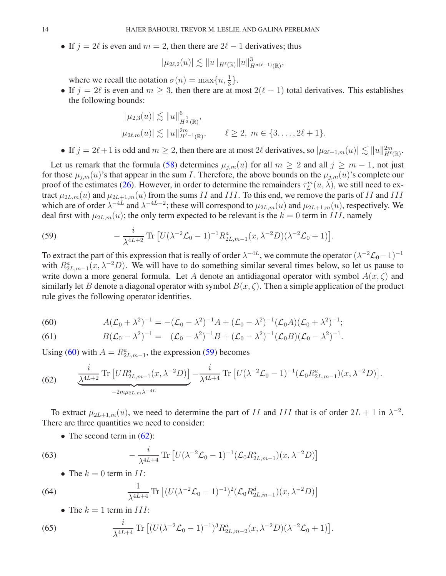• If  $j = 2\ell$  is even and  $m = 2$ , then there are  $2\ell - 1$  derivatives; thus

$$
|\mu_{2\ell,2}(u)| \lesssim \|u\|_{H^{\ell}(\mathbb{R})} \|u\|_{H^{\sigma(\ell-1)}(\mathbb{R})}^3,
$$

where we recall the notation  $\sigma(n) = \max\{n, \frac{1}{3}\}.$ 

• If  $j = 2\ell$  is even and  $m \geq 3$ , then there are at most  $2(\ell - 1)$  total derivatives. This establishes the following bounds:

$$
|\mu_{2,3}(u)| \lesssim ||u||_{H^{\frac{1}{3}}(\mathbb{R})}^{6},
$$
  

$$
|\mu_{2\ell,m}(u)| \lesssim ||u||_{H^{\ell-1}(\mathbb{R})}^{2m}, \qquad \ell \geq 2, m \in \{3, \ldots, 2\ell+1\}.
$$

• If  $j = 2\ell + 1$  is odd and  $m \ge 2$ , then there are at most  $2\ell$  derivatives, so  $|\mu_{2\ell+1,m}(u)| \lesssim ||u||_{H^{\ell}(\mathbb{R})}^{2m}$ .

Let us remark that the formula [\(58\)](#page-12-2) determines  $\mu_{j,m}(u)$  for all  $m \geq 2$  and all  $j \geq m-1$ , not just for those  $\mu_{j,m}(u)$ 's that appear in the sum *I*. Therefore, the above bounds on the  $\mu_{j,m}(u)$ 's complete our proof of the estimates [\(26\)](#page-5-3). However, in order to determine the remainders  $\tau_L^m(u, \lambda)$ , we still need to extract  $\mu_{2L,m}(u)$  and  $\mu_{2L+1,m}(u)$  from the sums II and III. To this end, we remove the parts of II and III which are of order  $\lambda^{-4L}$  and  $\lambda^{-4L-2}$ ; these will correspond to  $\mu_{2L,m}(u)$  and  $\mu_{2L+1,m}(u)$ , respectively. We deal first with  $\mu_{2L,m}(u)$ ; the only term expected to be relevant is the  $k = 0$  term in III, namely

<span id="page-13-1"></span>(59) 
$$
-\frac{i}{\lambda^{4L+2}} \text{Tr} \left[ U(\lambda^{-2} \mathcal{L}_0 - 1)^{-1} R_{2L,m-1}^a(x, \lambda^{-2} D)(\lambda^{-2} \mathcal{L}_0 + 1) \right].
$$

To extract the part of this expression that is really of order  $\lambda^{-4L}$ , we commute the operator  $(\lambda^{-2} \mathcal{L}_0 - 1)^{-1}$ with  $R_{2L,m-1}^a(x, \lambda^{-2}D)$ . We will have to do something similar several times below, so let us pause to write down a more general formula. Let A denote an antidiagonal operator with symbol  $A(x, \zeta)$  and similarly let B denote a diagonal operator with symbol  $B(x, \zeta)$ . Then a simple application of the product rule gives the following operator identities.

<span id="page-13-0"></span>(60) 
$$
A(\mathcal{L}_0 + \lambda^2)^{-1} = -(\mathcal{L}_0 - \lambda^2)^{-1}A + (\mathcal{L}_0 - \lambda^2)^{-1}(\mathcal{L}_0 A)(\mathcal{L}_0 + \lambda^2)^{-1};
$$

<span id="page-13-5"></span>(61) 
$$
B(\mathcal{L}_0 - \lambda^2)^{-1} = (\mathcal{L}_0 - \lambda^2)^{-1}B + (\mathcal{L}_0 - \lambda^2)^{-1}(\mathcal{L}_0 B)(\mathcal{L}_0 - \lambda^2)^{-1}.
$$

Using [\(60\)](#page-13-0) with  $A = R_{2L,m-1}^a$ , the expression [\(59\)](#page-13-1) becomes

<span id="page-13-2"></span>(62) 
$$
\frac{i}{\lambda^{4L+2}} \text{Tr}\left[UR_{2L,m-1}^a(x,\lambda^{-2}D)\right] - \frac{i}{\lambda^{4L+4}} \text{Tr}\left[U(\lambda^{-2}\mathcal{L}_0 - 1)^{-1}(\mathcal{L}_0 R_{2L,m-1}^a)(x,\lambda^{-2}D)\right].
$$

To extract  $\mu_{2L+1,m}(u)$ , we need to determine the part of II and III that is of order  $2L + 1$  in  $\lambda^{-2}$ . There are three quantities we need to consider:

• The second term in  $(62)$ :

(63) 
$$
-\frac{i}{\lambda^{4L+4}} \text{Tr} \left[ U(\lambda^{-2} \mathcal{L}_0 - 1)^{-1} (\mathcal{L}_0 R_{2L,m-1}^a)(x, \lambda^{-2} D) \right]
$$

<span id="page-13-4"></span><span id="page-13-3"></span>• The  $k = 0$  term in  $II$ :

(64) 
$$
\frac{1}{\lambda^{4L+4}} \text{Tr} \left[ (U(\lambda^{-2} \mathcal{L}_0 - 1)^{-1})^2 (\mathcal{L}_0 R_{2L,m-1}^d)(x, \lambda^{-2} D) \right]
$$

<span id="page-13-6"></span>• The  $k = 1$  term in  $III$ :

(65) 
$$
\frac{i}{\lambda^{4L+4}} \text{Tr} \left[ (U(\lambda^{-2} \mathcal{L}_0 - 1)^{-1})^3 R_{2L, m-2}^a(x, \lambda^{-2} D) (\lambda^{-2} \mathcal{L}_0 + 1) \right].
$$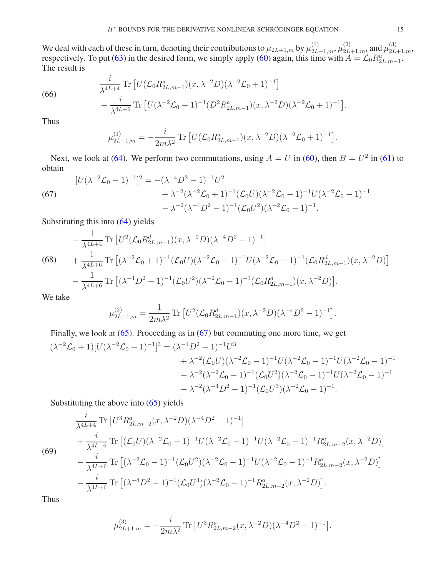We deal with each of these in turn, denoting their contributions to  $\mu_{2L+1,m}$  by  $\mu_{2L+1,m}^{(1)}$ ,  $\mu_{2L+1,m}^{(2)}$ , and  $\mu_{2L+1,m}^{(3)}$ , respectively. To put [\(63\)](#page-13-3) in the desired form, we simply apply [\(60\)](#page-13-0) again, this time with  $A = \mathcal{L}_0 R_{2L,m-1}^a$ . The result is

<span id="page-14-1"></span>(66) 
$$
\frac{i}{\lambda^{4L+4}} \text{Tr} \left[ U(\mathcal{L}_0 R^a_{2L,m-1})(x, \lambda^{-2} D)(\lambda^{-2} \mathcal{L}_0 + 1)^{-1} \right] - \frac{i}{\lambda^{4L+6}} \text{Tr} \left[ U(\lambda^{-2} \mathcal{L}_0 - 1)^{-1} (D^2 R^a_{2L,m-1})(x, \lambda^{-2} D)(\lambda^{-2} \mathcal{L}_0 + 1)^{-1} \right]
$$

Thus

$$
\mu_{2L+1,m}^{(1)} = -\frac{i}{2m\lambda^2} \text{Tr} \left[ U(\mathcal{L}_0 R_{2L,m-1}^a)(x, \lambda^{-2} D)(\lambda^{-2} \mathcal{L}_0 + 1)^{-1} \right].
$$

Next, we look at [\(64\)](#page-13-4). We perform two commutations, using  $A = U$  in [\(60\)](#page-13-0), then  $B = U^2$  in [\(61\)](#page-13-5) to obtain

<span id="page-14-0"></span>(67)  
\n
$$
[U(\lambda^{-2}\mathcal{L}_0 - 1)^{-1}]^2 = -(\lambda^{-4}D^2 - 1)^{-1}U^2
$$
\n
$$
+ \lambda^{-2}(\lambda^{-2}\mathcal{L}_0 + 1)^{-1}(\mathcal{L}_0U)(\lambda^{-2}\mathcal{L}_0 - 1)^{-1}U(\lambda^{-2}\mathcal{L}_0 - 1)^{-1}
$$
\n
$$
- \lambda^{-2}(\lambda^{-4}D^2 - 1)^{-1}(\mathcal{L}_0U^2)(\lambda^{-2}\mathcal{L}_0 - 1)^{-1}.
$$

Substituting this into [\(64\)](#page-13-4) yields

<span id="page-14-2"></span>
$$
-\frac{1}{\lambda^{4L+4}} \operatorname{Tr} \left[ U^2 (\mathcal{L}_0 R^d_{2L, m-1}) (x, \lambda^{-2} D) (\lambda^{-4} D^2 - 1)^{-1} \right]
$$
  
(68) 
$$
+\frac{1}{\lambda^{4L+6}} \operatorname{Tr} \left[ (\lambda^{-2} \mathcal{L}_0 + 1)^{-1} (\mathcal{L}_0 U) (\lambda^{-2} \mathcal{L}_0 - 1)^{-1} U (\lambda^{-2} \mathcal{L}_0 - 1)^{-1} (\mathcal{L}_0 R^d_{2L, m-1}) (x, \lambda^{-2} D) \right]
$$

$$
-\frac{1}{\lambda^{4L+6}} \operatorname{Tr} \left[ (\lambda^{-4} D^2 - 1)^{-1} (\mathcal{L}_0 U^2) (\lambda^{-2} \mathcal{L}_0 - 1)^{-1} (\mathcal{L}_0 R^d_{2L, m-1}) (x, \lambda^{-2} D) \right].
$$

We take

$$
\mu_{2L+1,m}^{(2)} = \frac{1}{2m\lambda^2} \text{Tr} \left[ U^2 (\mathcal{L}_0 R_{2L,m-1}^d)(x, \lambda^{-2} D) (\lambda^{-4} D^2 - 1)^{-1} \right].
$$

Finally, we look at [\(65\)](#page-13-6). Proceeding as in [\(67\)](#page-14-0) but commuting one more time, we get  $(\lambda^{-2}\mathcal{L}_0 + 1)[U(\lambda^{-2}\mathcal{L}_0 - 1)^{-1}]^3 = (\lambda^{-4}D^2 - 1)^{-1}U^3$  $+\lambda^{-2}(\mathcal{L}_0 U)(\lambda^{-2}\mathcal{L}_0 - 1)^{-1}U(\lambda^{-2}\mathcal{L}_0 - 1)^{-1}U(\lambda^{-2}\mathcal{L}_0 - 1)^{-1}$  $-\lambda^{-2}(\lambda^{-2}\mathcal{L}_0-1)^{-1}(\mathcal{L}_0U^2)(\lambda^{-2}\mathcal{L}_0-1)^{-1}U(\lambda^{-2}\mathcal{L}_0-1)^{-1}$  $-\lambda^{-2}(\lambda^{-4}D^2-1)^{-1}(\mathcal{L}_0U^3)(\lambda^{-2}\mathcal{L}_0-1)^{-1}.$ 

Substituting the above into [\(65\)](#page-13-6) yields

<span id="page-14-3"></span>
$$
\frac{i}{\lambda^{4L+4}} \text{Tr} \left[ U^3 R_{2L,m-2}^a(x, \lambda^{-2} D)(\lambda^{-4} D^2 - 1)^{-1} \right] \n+ \frac{i}{\lambda^{4L+6}} \text{Tr} \left[ (\mathcal{L}_0 U)(\lambda^{-2} \mathcal{L}_0 - 1)^{-1} U(\lambda^{-2} \mathcal{L}_0 - 1)^{-1} U(\lambda^{-2} \mathcal{L}_0 - 1)^{-1} R_{2L,m-2}^a(x, \lambda^{-2} D) \right] \n- \frac{i}{\lambda^{4L+6}} \text{Tr} \left[ (\lambda^{-2} \mathcal{L}_0 - 1)^{-1} (\mathcal{L}_0 U^2)(\lambda^{-2} \mathcal{L}_0 - 1)^{-1} U(\lambda^{-2} \mathcal{L}_0 - 1)^{-1} R_{2L,m-2}^a(x, \lambda^{-2} D) \right] \n- \frac{i}{\lambda^{4L+6}} \text{Tr} \left[ (\lambda^{-4} D^2 - 1)^{-1} (\mathcal{L}_0 U^3)(\lambda^{-2} \mathcal{L}_0 - 1)^{-1} R_{2L,m-2}^a(x, \lambda^{-2} D) \right].
$$

Thus

$$
\mu_{2L+1,m}^{(3)} = -\frac{i}{2m\lambda^2} \text{Tr} \left[ U^3 R^a_{2L,m-2}(x, \lambda^{-2}D)(\lambda^{-4}D^2 - 1)^{-1} \right].
$$

.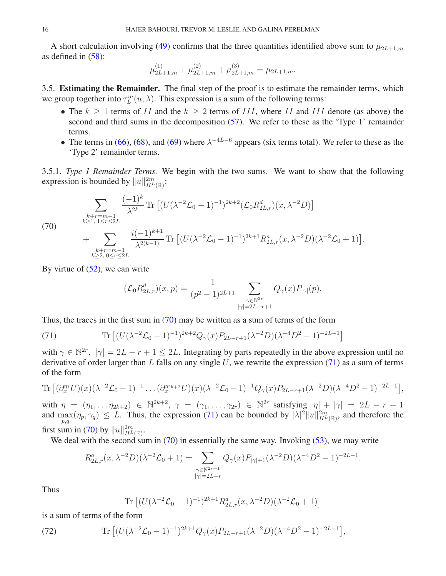A short calculation involving [\(49\)](#page-10-5) confirms that the three quantities identified above sum to  $\mu_{2L+1,m}$ as defined in  $(58)$ :

$$
\mu^{(1)}_{2L+1,m}+\mu^{(2)}_{2L+1,m}+\mu^{(3)}_{2L+1,m}=\mu_{2L+1,m}.
$$

<span id="page-15-0"></span>3.5. Estimating the Remainder. The final step of the proof is to estimate the remainder terms, which we group together into  $\tau_L^m(u, \lambda)$ . This expression is a sum of the following terms:

- The  $k \ge 1$  terms of II and the  $k \ge 2$  terms of III, where II and III denote (as above) the second and third sums in the decomposition [\(57\)](#page-12-3). We refer to these as the 'Type 1' remainder terms.
- The terms in [\(66\)](#page-14-1), [\(68\)](#page-14-2), and [\(69\)](#page-14-3) where  $\lambda^{-4L-6}$  appears (six terms total). We refer to these as the 'Type 2' remainder terms.

3.5.1. *Type 1 Remainder Terms.* We begin with the two sums. We want to show that the following expression is bounded by  $||u||_{H^L(\mathbb{R})}^{2m}$ :

$$
\sum_{\substack{k+r=m-1\\k\geq 1,\ 1\leq r\leq 2L}}\frac{(-1)^k}{\lambda^{2k}}\operatorname{Tr}\left[(U(\lambda^{-2}\mathcal{L}_0-1)^{-1})^{2k+2}(\mathcal{L}_0R_{2L,r}^d)(x,\lambda^{-2}D)\right] + \sum_{\substack{k+r=m-1\\k\geq 2,\ 0\leq r\leq 2L}}\frac{i(-1)^{k+1}}{\lambda^{2(k-1)}}\operatorname{Tr}\left[(U(\lambda^{-2}\mathcal{L}_0-1)^{-1})^{2k+1}R_{2L,r}^a(x,\lambda^{-2}D)(\lambda^{-2}\mathcal{L}_0+1)\right].
$$

By virtue of  $(52)$ , we can write

$$
(\mathcal{L}_0 R_{2L,r}^d)(x, p) = \frac{1}{(p^2 - 1)^{2L+1}} \sum_{\substack{\gamma \in \mathbb{N}^{2r} \\ |\gamma| = 2L - r + 1}} Q_{\gamma}(x) P_{|\gamma|}(p).
$$

Thus, the traces in the first sum in [\(70\)](#page-15-1) may be written as a sum of terms of the form

<span id="page-15-2"></span>(71) 
$$
\text{Tr}\left[ (U(\lambda^{-2}\mathcal{L}_0 - 1)^{-1})^{2k+2} Q_{\gamma}(x) P_{2L-r+1}(\lambda^{-2}D) (\lambda^{-4}D^2 - 1)^{-2L-1} \right]
$$

with  $\gamma \in \mathbb{N}^{2r}$ ,  $|\gamma| = 2L - r + 1 \leq 2L$ . Integrating by parts repeatedly in the above expression until no derivative of order larger than L falls on any single U, we rewrite the expression  $(71)$  as a sum of terms of the form

$$
\begin{aligned} \text{Tr}\left[ (\partial_x^{\eta_1} U)(x)(\lambda^{-2} \mathcal{L}_0 - 1)^{-1} \dots (\partial_x^{\eta_{2k+2}} U)(x)(\lambda^{-2} \mathcal{L}_0 - 1)^{-1} Q_{\gamma}(x) P_{2L-r+1}(\lambda^{-2} D)(\lambda^{-4} D^2 - 1)^{-2L-1} \right], \\ \text{with } x_{\alpha} = (x_{\alpha} - x_{\alpha}) \in \mathbb{N}^{2k+2} \quad \text{for } x = (x_{\alpha} - x_{\alpha}) \in \mathbb{N}^{2r} \text{ satisfying } |x_{\alpha}| + |x_{\alpha}| = 2L - x_{\alpha} + 1 \end{aligned}
$$

with  $\eta = (\eta_1, \ldots \eta_{2k+2}) \in \mathbb{N}^{2k+2}$ ,  $\gamma = (\gamma_1, \ldots, \gamma_{2r}) \in \mathbb{N}^{2r}$  satisfying  $|\eta| + |\gamma| = 2L - r + 1$ and  $\max_{p,q}(\eta_p, \gamma_q) \leq L$ . Thus, the expression [\(71\)](#page-15-2) can be bounded by  $|\lambda|^2 ||u||_{H^L(\mathbb{R})}^{2m}$ , and therefore the first sum in [\(70\)](#page-15-1) by  $||u||_{H^L(\mathbb{R})}^{2m}$ .

We deal with the second sum in  $(70)$  in essentially the same way. Invoking  $(53)$ , we may write

$$
R_{2L,r}^a(x, \lambda^{-2}D)(\lambda^{-2}\mathcal{L}_0 + 1) = \sum_{\substack{\gamma \in \mathbb{N}^{2r+1} \\ |\gamma| = 2L - r}} Q_{\gamma}(x) P_{|\gamma|+1}(\lambda^{-2}D)(\lambda^{-4}D^2 - 1)^{-2L - 1}.
$$

Thus

<span id="page-15-3"></span>Tr 
$$
[(U(\lambda^{-2}\mathcal{L}_0 - 1)^{-1})^{2k+1}R_{2L,r}^a(x, \lambda^{-2}D)(\lambda^{-2}\mathcal{L}_0 + 1)]
$$

is a sum of terms of the form

(72) 
$$
\text{Tr}\left[ (U(\lambda^{-2}\mathcal{L}_0-1)^{-1})^{2k+1}Q_{\gamma}(x)P_{2L-r+1}(\lambda^{-2}D)(\lambda^{-4}D^2-1)^{-2L-1} \right],
$$

<span id="page-15-1"></span>(70)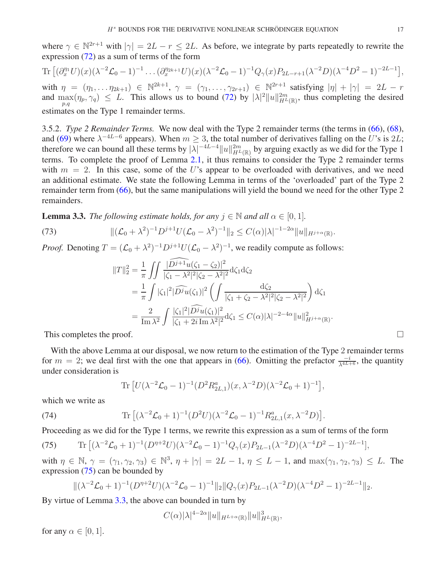where  $\gamma \in \mathbb{N}^{2r+1}$  with  $|\gamma| = 2L - r \leq 2L$ . As before, we integrate by parts repeatedly to rewrite the expression [\(72\)](#page-15-3) as a sum of terms of the form

Tr 
$$
[(\partial_x^{\eta_1} U)(x)(\lambda^{-2}\mathcal{L}_0 - 1)^{-1} \dots (\partial_x^{\eta_{2k+1}} U)(x)(\lambda^{-2}\mathcal{L}_0 - 1)^{-1}Q_{\gamma}(x)P_{2L-r+1}(\lambda^{-2}D)(\lambda^{-4}D^2 - 1)^{-2L-1}],
$$

with  $\eta = (\eta_1, \ldots \eta_{2k+1}) \in \mathbb{N}^{2k+1}$ ,  $\gamma = (\gamma_1, \ldots, \gamma_{2r+1}) \in \mathbb{N}^{2r+1}$  satisfying  $|\eta| + |\gamma| = 2L - r$ and  $\max_{p,q}(\eta_p, \gamma_q) \leq L$ . This allows us to bound [\(72\)](#page-15-3) by  $|\lambda|^2 ||u||_{H^L(\mathbb{R})}^{2m}$ , thus completing the desired estimates on the Type 1 remainder terms.

3.5.2. *Type 2 Remainder Terms.* We now deal with the Type 2 remainder terms (the terms in [\(66\)](#page-14-1), [\(68\)](#page-14-2), and [\(69\)](#page-14-3) where  $\lambda^{-4L-6}$  appears). When  $m \geq 3$ , the total number of derivatives falling on the U's is 2L; therefore we can bound all these terms by  $|\lambda|^{-4L-4}||u||_{H^L(\mathbb{R})}^{2m}$  by arguing exactly as we did for the Type 1 terms. To complete the proof of Lemma [2.1,](#page-5-0) it thus remains to consider the Type 2 remainder terms with  $m = 2$ . In this case, some of the U's appear to be overloaded with derivatives, and we need an additional estimate. We state the following Lemma in terms of the 'overloaded' part of the Type 2 remainder term from [\(66\)](#page-14-1), but the same manipulations will yield the bound we need for the other Type 2 remainders.

<span id="page-16-1"></span>**Lemma 3.3.** *The following estimate holds, for any*  $j \in \mathbb{N}$  *and all*  $\alpha \in [0, 1]$ *.* 

(73) 
$$
\|(\mathcal{L}_0 + \lambda^2)^{-1} D^{j+1} U (\mathcal{L}_0 - \lambda^2)^{-1} \|_2 \leq C(\alpha) |\lambda|^{-1-2\alpha} \|u\|_{H^{j+\alpha}(\mathbb{R})}.
$$

*Proof.* Denoting  $T = (\mathcal{L}_0 + \lambda^2)^{-1} D^{j+1} U (\mathcal{L}_0 - \lambda^2)^{-1}$ , we readily compute as follows:

$$
\begin{split} \|T\|_2^2 &= \frac{1}{\pi} \iint \frac{|\widehat{Di}^{+1}u(\zeta_1 - \zeta_2)|^2}{|\zeta_1 - \lambda^2|^2 |\zeta_2 - \lambda^2|^2} \mathrm{d}\zeta_1 \mathrm{d}\zeta_2 \\ &= \frac{1}{\pi} \int |\zeta_1|^2 |\widehat{Di}u(\zeta_1)|^2 \left( \int \frac{\mathrm{d}\zeta_2}{|\zeta_1 + \zeta_2 - \lambda^2|^2 |\zeta_2 - \lambda^2|^2} \right) \mathrm{d}\zeta_1 \\ &= \frac{2}{\text{Im }\lambda^2} \int \frac{|\zeta_1|^2 |\widehat{Di}u(\zeta_1)|^2}{|\zeta_1 + 2i \text{ Im }\lambda^2|^2} \mathrm{d}\zeta_1 \le C(\alpha) |\lambda|^{-2-4\alpha} \|u\|_{H^{j+\alpha}(\mathbb{R})}^2. \end{split}
$$

This completes the proof.  $\Box$ 

With the above Lemma at our disposal, we now return to the estimation of the Type 2 remainder terms for  $m = 2$ ; we deal first with the one that appears in [\(66\)](#page-14-1). Omitting the prefactor  $\frac{-i}{\lambda^{4L+6}}$ , the quantity under consideration is

<span id="page-16-2"></span>Tr 
$$
[U(\lambda^{-2}\mathcal{L}_0 - 1)^{-1}(D^2 R_{2L,1}^a)(x, \lambda^{-2}D)(\lambda^{-2}\mathcal{L}_0 + 1)^{-1}],
$$

which we write as

(74) 
$$
\text{Tr}\left[ (\lambda^{-2}\mathcal{L}_0 + 1)^{-1} (D^2 U)(\lambda^{-2}\mathcal{L}_0 - 1)^{-1} R_{2L,1}^a(x, \lambda^{-2} D) \right].
$$

Proceeding as we did for the Type 1 terms, we rewrite this expression as a sum of terms of the form

<span id="page-16-0"></span>(75) 
$$
\text{Tr}\left[ (\lambda^{-2}\mathcal{L}_0 + 1)^{-1} (D^{\eta+2}U)(\lambda^{-2}\mathcal{L}_0 - 1)^{-1} Q_{\gamma}(x) P_{2L-1}(\lambda^{-2}D)(\lambda^{-4}D^2 - 1)^{-2L-1} \right],
$$

with  $\eta \in \mathbb{N}, \gamma = (\gamma_1, \gamma_2, \gamma_3) \in \mathbb{N}^3, \eta + |\gamma| = 2L - 1, \eta \leq L - 1$ , and  $\max(\gamma_1, \gamma_2, \gamma_3) \leq L$ . The expression [\(75\)](#page-16-0) can be bounded by

$$
\|(\lambda^{-2}\mathcal{L}_0+1)^{-1}(D^{\eta+2}U)(\lambda^{-2}\mathcal{L}_0-1)^{-1}\|_2\|Q_{\gamma}(x)P_{2L-1}(\lambda^{-2}D)(\lambda^{-4}D^2-1)^{-2L-1}\|_2.
$$

By virtue of Lemma [3.3,](#page-16-1) the above can bounded in turn by

$$
C(\alpha)|\lambda|^{4-2\alpha}||u||_{H^{L+\alpha}(\mathbb{R})}||u||_{H^{L}(\mathbb{R})}^{3},
$$

for any  $\alpha \in [0, 1]$ .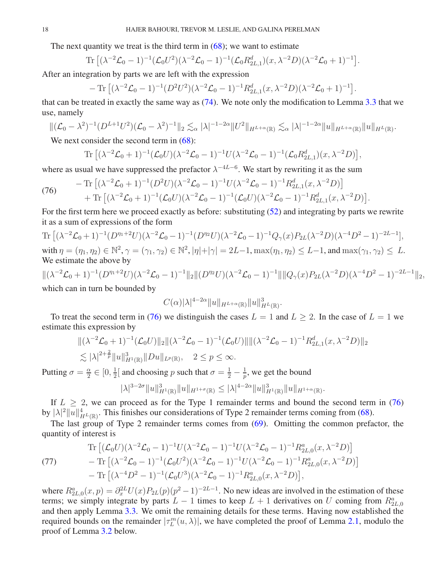The next quantity we treat is the third term in  $(68)$ ; we want to estimate

Tr 
$$
[(\lambda^{-2} \mathcal{L}_0 - 1)^{-1} (\mathcal{L}_0 U^2)(\lambda^{-2} \mathcal{L}_0 - 1)^{-1} (\mathcal{L}_0 R_{2L,1}^d)(x, \lambda^{-2} D)(\lambda^{-2} \mathcal{L}_0 + 1)^{-1}].
$$

After an integration by parts we are left with the expression

$$
- \operatorname{Tr} \left[ (\lambda^{-2} \mathcal{L}_0 - 1)^{-1} (D^2 U^2) (\lambda^{-2} \mathcal{L}_0 - 1)^{-1} R_{2L,1}^d(x, \lambda^{-2} D) (\lambda^{-2} \mathcal{L}_0 + 1)^{-1} \right].
$$

that can be treated in exactly the same way as [\(74\)](#page-16-2). We note only the modification to Lemma [3.3](#page-16-1) that we use, namely

$$
\|(\mathcal{L}_0 - \lambda^2)^{-1} (D^{L+1} U^2)(\mathcal{L}_0 - \lambda^2)^{-1} \|_2 \lesssim_\alpha |\lambda|^{-1-2\alpha} \|U^2\|_{H^{L+\alpha}(\mathbb{R})} \lesssim_\alpha |\lambda|^{-1-2\alpha} \|u\|_{H^{L+\alpha}(\mathbb{R})} \|u\|_{H^L(\mathbb{R})}.
$$

We next consider the second term in  $(68)$ :

Tr 
$$
[(\lambda^{-2}\mathcal{L}_0+1)^{-1}(\mathcal{L}_0U)(\lambda^{-2}\mathcal{L}_0-1)^{-1}U(\lambda^{-2}\mathcal{L}_0-1)^{-1}(\mathcal{L}_0R_{2L,1}^d)(x,\lambda^{-2}D)],
$$

where as usual we have suppressed the prefactor  $\lambda^{-4L-6}$ . We start by rewriting it as the sum

<span id="page-17-0"></span>(76) 
$$
- \operatorname{Tr} \left[ (\lambda^{-2} \mathcal{L}_0 + 1)^{-1} (D^2 U) (\lambda^{-2} \mathcal{L}_0 - 1)^{-1} U (\lambda^{-2} \mathcal{L}_0 - 1)^{-1} R_{2L,1}^d(x, \lambda^{-2} D) \right] + \operatorname{Tr} \left[ (\lambda^{-2} \mathcal{L}_0 + 1)^{-1} (\mathcal{L}_0 U) (\lambda^{-2} \mathcal{L}_0 - 1)^{-1} (\mathcal{L}_0 U) (\lambda^{-2} \mathcal{L}_0 - 1)^{-1} R_{2L,1}^d(x, \lambda^{-2} D) \right].
$$

For the first term here we proceed exactly as before: substituting [\(52\)](#page-11-3) and integrating by parts we rewrite it as a sum of expressions of the form

Tr 
$$
[(\lambda^{-2}\mathcal{L}_0+1)^{-1}(D^{\eta_1+2}U)(\lambda^{-2}\mathcal{L}_0-1)^{-1}(D^{\eta_2}U)(\lambda^{-2}\mathcal{L}_0-1)^{-1}Q_{\gamma}(x)P_{2L}(\lambda^{-2}D)(\lambda^{-4}D^2-1)^{-2L-1}],
$$
 with  $\eta = (\eta_1, \eta_2) \in \mathbb{N}^2$ ,  $\gamma = (\gamma_1, \gamma_2) \in \mathbb{N}^2$ ,  $|\eta|+|\gamma| = 2L-1$ ,  $\max(\eta_1, \eta_2) \leq L-1$ , and  $\max(\gamma_1, \gamma_2) \leq L$ . We estimate the above by

$$
\|(\lambda^{-2}\mathcal{L}_0+1)^{-1}(D^{\eta_1+2}U)(\lambda^{-2}\mathcal{L}_0-1)^{-1}\|_2 \|(D^{\eta_2}U)(\lambda^{-2}\mathcal{L}_0-1)^{-1}\| \|Q_\gamma(x)P_{2L}(\lambda^{-2}D)(\lambda^{-4}D^2-1)^{-2L-1}\|_2,
$$

which can in turn be bounded by

$$
C(\alpha)|\lambda|^{4-2\alpha}||u||_{H^{L+\alpha}(\mathbb{R})}||u||_{H^{L}(\mathbb{R})}^{3}.
$$

To treat the second term in [\(76\)](#page-17-0) we distinguish the cases  $L = 1$  and  $L \ge 2$ . In the case of  $L = 1$  we estimate this expression by

$$
\begin{aligned} &\|(\lambda^{-2}\mathcal{L}_0+1)^{-1}(\mathcal{L}_0 U)\|_2 \|(\lambda^{-2}\mathcal{L}_0-1)^{-1}(\mathcal{L}_0 U)\| \|\lambda^{-2}\mathcal{L}_0-1)^{-1} R_{2L,1}^d(x,\lambda^{-2} D)\|_2 \\ &\lesssim |\lambda|^{2+\frac{2}{p}} \|u\|_{H^1(\mathbb{R})}^3 \|Du\|_{L^p(\mathbb{R})}, \quad 2 \leq p \leq \infty. \end{aligned}
$$

Putting  $\sigma = \frac{\alpha}{2}$  $\frac{\alpha}{2} \in [0, \frac{1}{2}]$  $\frac{1}{2}$ [ and choosing p such that  $\sigma = \frac{1}{2} - \frac{1}{p}$  $\frac{1}{p}$ , we get the bound  $|\lambda|^{3-2\sigma} \|u\|_{H^1(\mathbb{R})}^3 \|u\|_{H^{1+\sigma}(\mathbb{R})} \leq |\lambda|^{4-2\alpha} \|u\|_{H^1(\mathbb{R})}^3 \|u\|_{H^{1+\alpha}(\mathbb{R})}.$ 

If  $L \geq 2$ , we can proceed as for the Type 1 remainder terms and bound the second term in [\(76\)](#page-17-0) by  $|\lambda|^2 ||u||^4_{H^L(\mathbb{R})}$ . This finishes our considerations of Type 2 remainder terms coming from [\(68\)](#page-14-2).

The last group of Type 2 remainder terms comes from [\(69\)](#page-14-3). Omitting the common prefactor, the quantity of interest is

(77) 
$$
\begin{split} \text{Tr}\left[ (\mathcal{L}_0 U)(\lambda^{-2} \mathcal{L}_0 - 1)^{-1} U(\lambda^{-2} \mathcal{L}_0 - 1)^{-1} U(\lambda^{-2} \mathcal{L}_0 - 1)^{-1} R_{2L,0}^a(x, \lambda^{-2} D) \right] \\ - \text{Tr}\left[ (\lambda^{-2} \mathcal{L}_0 - 1)^{-1} (\mathcal{L}_0 U^2)(\lambda^{-2} \mathcal{L}_0 - 1)^{-1} U(\lambda^{-2} \mathcal{L}_0 - 1)^{-1} R_{2L,0}^a(x, \lambda^{-2} D) \right] \\ - \text{Tr}\left[ (\lambda^{-4} D^2 - 1)^{-1} (\mathcal{L}_0 U^3)(\lambda^{-2} \mathcal{L}_0 - 1)^{-1} R_{2L,0}^a(x, \lambda^{-2} D) \right], \end{split}
$$

where  $R_{2L,0}^a(x,p) = \partial_x^{2L} U(x) P_{2L}(p) (p^2 - 1)^{-2L-1}$ . No new ideas are involved in the estimation of these terms; we simply integrate by parts  $L - 1$  times to keep  $L + 1$  derivatives on U coming from  $R_{2L,0}^a$ and then apply Lemma [3.3.](#page-16-1) We omit the remaining details for these terms. Having now established the required bounds on the remainder  $|\tau_L^m(u,\lambda)|$ , we have completed the proof of Lemma [2.1,](#page-5-0) modulo the proof of Lemma [3.2](#page-11-0) below.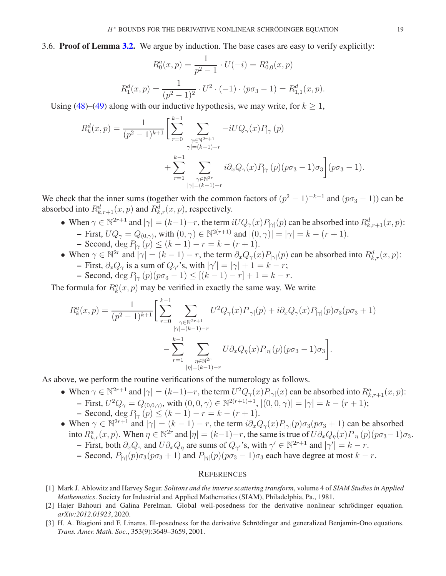<span id="page-18-3"></span>3.6. Proof of Lemma [3.2.](#page-11-0) We argue by induction. The base cases are easy to verify explicitly:

$$
R_0^a(x, p) = \frac{1}{p^2 - 1} \cdot U(-i) = R_{0,0}^a(x, p)
$$

$$
R_1^d(x, p) = \frac{1}{(p^2 - 1)^2} \cdot U^2 \cdot (-1) \cdot (p\sigma_3 - 1) = R_{1,1}^d(x, p).
$$

Using [\(48\)](#page-10-8)–[\(49\)](#page-10-5) along with our inductive hypothesis, we may write, for  $k \geq 1$ ,

$$
R_k^d(x, p) = \frac{1}{(p^2 - 1)^{k+1}} \left[ \sum_{r=0}^{k-1} \sum_{\substack{\gamma \in \mathbb{N}^{2r+1} \\ |\gamma| = (k-1) - r}} -iUQ_{\gamma}(x)P_{|\gamma|}(p) + \sum_{r=1}^{k-1} \sum_{\substack{\gamma \in \mathbb{N}^{2r} \\ |\gamma| = (k-1) - r}} i\partial_x Q_{\gamma}(x)P_{|\gamma|}(p)(p\sigma_3 - 1)\sigma_3 \right] (p\sigma_3 - 1).
$$

We check that the inner sums (together with the common factors of  $(p^2 - 1)^{-k-1}$  and  $(p\sigma_3 - 1)$ ) can be absorbed into  $R_{k,r+1}^d(x,p)$  and  $R_{k,r}^d(x,p)$ , respectively.

- When  $\gamma \in \mathbb{N}^{2r+1}$  and  $|\gamma| = (k-1)-r$ , the term  $iUQ_{\gamma}(x)P_{|\gamma|}(p)$  can be absorbed into  $R^d_{k,r+1}(x, p)$ :  $-$  First,  $UQ_{\gamma} = Q_{(0,\gamma)}$ , with  $(0, \gamma) \in \mathbb{N}^{2(r+1)}$  and  $|(0, \gamma)| = |\gamma| = k - (r + 1)$ .
	- Second, deg  $P_{|\gamma|}(p)$  ≤  $(k-1) r = k (r+1)$ .
- When  $\gamma \in \mathbb{N}^{2r}$  and  $|\gamma| = (k-1) r$ , the term  $\partial_x Q_{\gamma}(x) P_{|\gamma|}(p)$  can be absorbed into  $R^d_{k,r}(x, p)$ : - First,  $\partial_x Q_\gamma$  is a sum of  $Q_{\gamma'}$ 's, with  $|\gamma'| = |\gamma| + 1 = k - r$ ;
	- Second, deg  $P_{|\gamma|}(p)(pσ_3 1)$  ≤ [(k − 1) − r] + 1 = k − r.

The formula for  $R_k^a(x, p)$  may be verified in exactly the same way. We write

$$
R_k^a(x, p) = \frac{1}{(p^2 - 1)^{k+1}} \bigg[ \sum_{r=0}^{k-1} \sum_{\substack{\gamma \in \mathbb{N}^{2r+1} \\ |\gamma| = (k-1) - r}} U^2 Q_\gamma(x) P_{|\gamma|}(p) + i \partial_x Q_\gamma(x) P_{|\gamma|}(p) \sigma_3(p\sigma_3 + 1) - \sum_{r=1}^{k-1} \sum_{\substack{\eta \in \mathbb{N}^{2r} \\ |\eta| = (k-1) - r}} U \partial_x Q_\eta(x) P_{|\eta|}(p) (p\sigma_3 - 1) \sigma_3 \bigg].
$$

As above, we perform the routine verifications of the numerology as follows.

- When  $\gamma \in \mathbb{N}^{2r+1}$  and  $|\gamma| = (k-1)-r$ , the term  $U^2 Q_{\gamma}(x) P_{|\gamma|}(x)$  can be absorbed into  $R^a_{k,r+1}(x, p)$ :  $-$  First,  $U^2 Q_{\gamma} = Q_{(0,0,\gamma)}$ , with  $(0,0,\gamma) \in \mathbb{N}^{2(r+1)+1}$ ,  $|(0,0,\gamma)| = |\gamma| = k - (r+1)$ ;
	- Second, deg  $P_{|\gamma|}(p) \le (k-1) r = k (r+1)$ .
- When  $\gamma \in \mathbb{N}^{2r+1}$  and  $|\gamma| = (k-1) r$ , the term  $i\partial_x Q_\gamma(x)P_{|\gamma|}(p)\sigma_3(p\sigma_3 + 1)$  can be absorbed into  $R_{k,r}^a(x, p)$ . When  $\eta \in \mathbb{N}^{2r}$  and  $|\eta| = (k-1)-r$ , the same is true of  $U\partial_x Q_\eta(x)P_{|\eta|}(p)(p\sigma_3-1)\sigma_3$ .
	- First, both  $\partial_x Q_\gamma$  and  $U \partial_x Q_\eta$  are sums of  $Q_{\gamma'}$ 's, with  $\gamma' \in \mathbb{N}^{2r+1}$  and  $|\gamma'| = k r$ .
	- Second,  $P_{|\gamma|}(p)\sigma_3(p\sigma_3 + 1)$  and  $P_{|\eta|}(p)(p\sigma_3 1)\sigma_3$  each have degree at most  $k r$ .

### **REFERENCES**

- <span id="page-18-2"></span>[1] Mark J. Ablowitz and Harvey Segur. *Solitons and the inverse scattering transform*, volume 4 of *SIAM Studies in Applied Mathematics*. Society for Industrial and Applied Mathematics (SIAM), Philadelphia, Pa., 1981.
- <span id="page-18-0"></span>[2] Hajer Bahouri and Galina Perelman. Global well-posedness for the derivative nonlinear schrödinger equation. *arXiv:2012.01923*, 2020.
- <span id="page-18-1"></span>[3] H. A. Biagioni and F. Linares. Ill-posedness for the derivative Schrödinger and generalized Benjamin-Ono equations. *Trans. Amer. Math. Soc.*, 353(9):3649–3659, 2001.